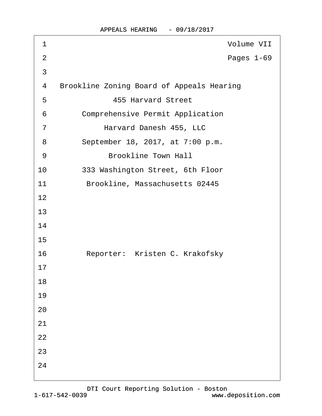| 1              | Volume VII                                       |
|----------------|--------------------------------------------------|
| $\overline{2}$ | Pages 1-69                                       |
| 3              |                                                  |
| 4              | <b>Brookline Zoning Board of Appeals Hearing</b> |
| 5              | <b>455 Harvard Street</b>                        |
| 6              | <b>Comprehensive Permit Application</b>          |
| $\overline{7}$ | Harvard Danesh 455, LLC                          |
| 8              | September 18, 2017, at 7:00 p.m.                 |
| 9              | <b>Brookline Town Hall</b>                       |
| 10             | 333 Washington Street, 6th Floor                 |
| 11             | Brookline, Massachusetts 02445                   |
| 12             |                                                  |
| 13             |                                                  |
| 14             |                                                  |
| 15             |                                                  |
| 16             | Reporter: Kristen C. Krakofsky                   |
| 17             |                                                  |
| 18             |                                                  |
| 19             |                                                  |
| 20             |                                                  |
| 21             |                                                  |
| 22             |                                                  |
| 23             |                                                  |
| 24             |                                                  |
|                |                                                  |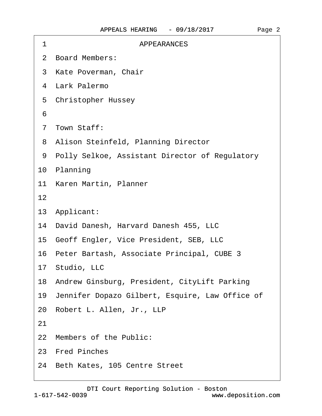| 1  | <b>APPEARANCES</b>                                 |
|----|----------------------------------------------------|
|    | 2 Board Members:                                   |
|    | 3 Kate Poverman, Chair                             |
|    | 4 Lark Palermo                                     |
|    | 5 Christopher Hussey                               |
| 6  |                                                    |
|    | 7 Town Staff:                                      |
|    | 8 Alison Steinfeld, Planning Director              |
|    | 9 Polly Selkoe, Assistant Director of Regulatory   |
|    | 10 Planning                                        |
|    | 11 Karen Martin, Planner                           |
| 12 |                                                    |
|    | 13 Applicant:                                      |
|    | 14 David Danesh, Harvard Danesh 455, LLC           |
|    | 15 Geoff Engler, Vice President, SEB, LLC          |
|    | 16 Peter Bartash, Associate Principal, CUBE 3      |
|    | 17 Studio, LLC                                     |
|    | 18 Andrew Ginsburg, President, CityLift Parking    |
|    | 19 Jennifer Dopazo Gilbert, Esquire, Law Office of |
|    | 20 Robert L. Allen, Jr., LLP                       |
| 21 |                                                    |
|    | 22 Members of the Public:                          |
|    | 23 Fred Pinches                                    |
|    | 24 Beth Kates, 105 Centre Street                   |
|    |                                                    |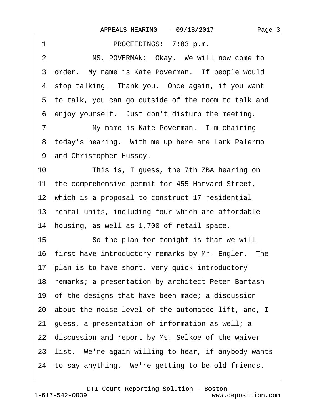| 1<br>PROCEEDINGS: 7:03 p.m.                               |
|-----------------------------------------------------------|
| $\overline{2}$<br>MS. POVERMAN: Okay. We will now come to |
| 3 order. My name is Kate Poverman. If people would        |
| 4 stop talking. Thank you. Once again, if you want        |
| 5 to talk, you can go outside of the room to talk and     |
| 6 enjoy yourself. Just don't disturb the meeting.         |
| My name is Kate Poverman. I'm chairing<br>7               |
| 8 today's hearing. With me up here are Lark Palermo       |
| 9 and Christopher Hussey.                                 |
| 10<br>This is, I guess, the 7th ZBA hearing on            |
| 11 the comprehensive permit for 455 Harvard Street,       |
| 12 which is a proposal to construct 17 residential        |
| 13 rental units, including four which are affordable      |
| 14 housing, as well as 1,700 of retail space.             |
| 15<br>So the plan for tonight is that we will             |
| 16 first have introductory remarks by Mr. Engler. The     |
| 17 plan is to have short, very quick introductory         |
| 18 remarks; a presentation by architect Peter Bartash     |
| 19 of the designs that have been made; a discussion       |
| 20 about the noise level of the automated lift, and, I    |
| 21 guess, a presentation of information as well; a        |
| 22 discussion and report by Ms. Selkoe of the waiver      |
| 23 list. We're again willing to hear, if anybody wants    |
| 24 to say anything. We're getting to be old friends.      |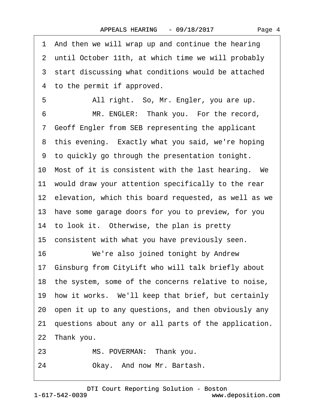|    | 1 And then we will wrap up and continue the hearing     |
|----|---------------------------------------------------------|
|    | 2 until October 11th, at which time we will probably    |
|    | 3 start discussing what conditions would be attached    |
|    | 4 to the permit if approved.                            |
| 5  | All right. So, Mr. Engler, you are up.                  |
| 6  | MR. ENGLER: Thank you. For the record,                  |
|    | 7 Geoff Engler from SEB representing the applicant      |
|    | 8 this evening. Exactly what you said, we're hoping     |
|    | 9 to quickly go through the presentation tonight.       |
|    | 10 Most of it is consistent with the last hearing. We   |
|    | 11 would draw your attention specifically to the rear   |
|    | 12 elevation, which this board requested, as well as we |
|    | 13 have some garage doors for you to preview, for you   |
|    | 14 to look it. Otherwise, the plan is pretty            |
|    | 15 consistent with what you have previously seen.       |
| 16 | We're also joined tonight by Andrew                     |
|    | 17 Ginsburg from CityLift who will talk briefly about   |
|    | 18 the system, some of the concerns relative to noise,  |
|    | 19 how it works. We'll keep that brief, but certainly   |
|    | 20 open it up to any questions, and then obviously any  |
|    | 21 questions about any or all parts of the application. |
|    | 22 Thank you.                                           |
| 23 | MS. POVERMAN: Thank you.                                |
| 24 | Okay. And now Mr. Bartash.                              |

1-617-542-0039 [DTI Court Reporting Solution - Boston](http://www.deposition.com) www.deposition.com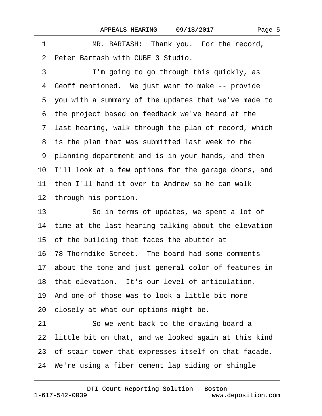| MR. BARTASH: Thank you. For the record,<br>1            |
|---------------------------------------------------------|
| 2 Peter Bartash with CUBE 3 Studio.                     |
| 3<br>I'm going to go through this quickly, as           |
| Geoff mentioned. We just want to make -- provide<br>4   |
| 5 you with a summary of the updates that we've made to  |
| 6 the project based on feedback we've heard at the      |
| 7 last hearing, walk through the plan of record, which  |
| 8 is the plan that was submitted last week to the       |
| 9 planning department and is in your hands, and then    |
| 10 I'll look at a few options for the garage doors, and |
| 11 then I'll hand it over to Andrew so he can walk      |
| 12 through his portion.                                 |
| 13<br>So in terms of updates, we spent a lot of         |
| 14 time at the last hearing talking about the elevation |
| 15 of the building that faces the abutter at            |
| 16 78 Thorndike Street. The board had some comments     |
| 17 about the tone and just general color of features in |
| 18 that elevation. It's our level of articulation.      |
| 19 And one of those was to look a little bit more       |
| 20 closely at what our options might be.                |
| So we went back to the drawing board a<br>21            |
| 22 little bit on that, and we looked again at this kind |
| 23 of stair tower that expresses itself on that facade. |
| 24 We're using a fiber cement lap siding or shingle     |
|                                                         |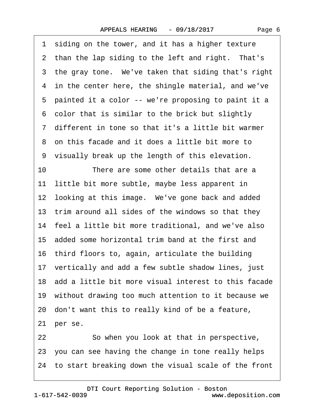1 siding on the tower, and it has a higher texture 2 than the lap siding to the left and right. That's 3 the gray tone. We've taken that siding that's right 4 in the center here, the shingle material, and we've 5 painted it a color -- we're proposing to paint it a ·6· color that is similar to the brick but slightly ·7· different in tone so that it's a little bit warmer ·8· on this facade and it does a little bit more to 9 visually break up the length of this elevation. 10 There are some other details that are a 11 little bit more subtle, maybe less apparent in 12 looking at this image. We've gone back and added 13 trim around all sides of the windows so that they 14 feel a little bit more traditional, and we've also 15· added some horizontal trim band at the first and 16 third floors to, again, articulate the building 17 vertically and add a few subtle shadow lines, just 18· add a little bit more visual interest to this facade 19 without drawing too much attention to it because we 20· don't want this to really kind of be a feature, 21 per se. 22 So when you look at that in perspective, 23· you can see having the change in tone really helps 24 to start breaking down the visual scale of the front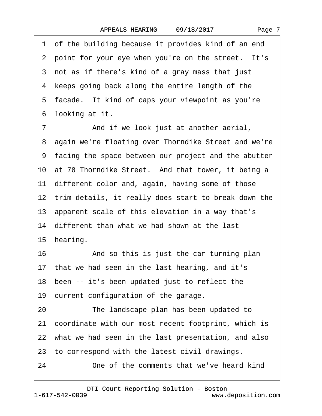1 of the building because it provides kind of an end 2 point for your eye when you're on the street. It's 3 not as if there's kind of a gray mass that just 4 keeps going back along the entire length of the 5 facade. It kind of caps your viewpoint as you're 6 looking at it. 7 **••** And if we look just at another aerial, ·8· again we're floating over Thorndike Street and we're ·9· facing the space between our project and the abutter 10 at 78 Thorndike Street. And that tower, it being a 11 different color and, again, having some of those 12 trim details, it really does start to break down the 13· apparent scale of this elevation in a way that's 14 different than what we had shown at the last 15 hearing. 16 • • And so this is just the car turning plan 17 that we had seen in the last hearing, and it's

18 been -- it's been updated just to reflect the

19 current configuration of the garage.

20 The landscape plan has been updated to

21· coordinate with our most recent footprint, which is

22 what we had seen in the last presentation, and also

23 to correspond with the latest civil drawings.

24 One of the comments that we've heard kind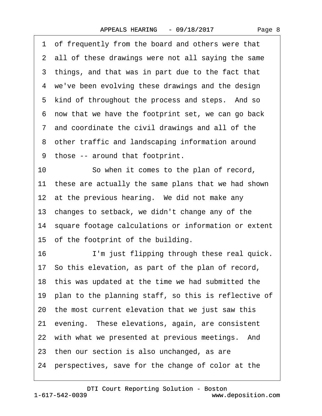| 1 of frequently from the board and others were that     |
|---------------------------------------------------------|
| 2 all of these drawings were not all saying the same    |
| 3 things, and that was in part due to the fact that     |
| 4 we've been evolving these drawings and the design     |
| 5 kind of throughout the process and steps. And so      |
| 6 now that we have the footprint set, we can go back    |
| 7 and coordinate the civil drawings and all of the      |
| 8 other traffic and landscaping information around      |
| 9 those -- around that footprint.                       |
| So when it comes to the plan of record,<br>10           |
| 11 these are actually the same plans that we had shown  |
| 12 at the previous hearing. We did not make any         |
| 13 changes to setback, we didn't change any of the      |
| 14 square footage calculations or information or extent |
| 15 of the footprint of the building.                    |
| 16<br>I'm just flipping through these real quick.       |
| 17 So this elevation, as part of the plan of record,    |
| 18 this was updated at the time we had submitted the    |
| 19 plan to the planning staff, so this is reflective of |
| 20 the most current elevation that we just saw this     |
| 21 evening. These elevations, again, are consistent     |
| 22 with what we presented at previous meetings. And     |
| 23 then our section is also unchanged, as are           |
| 24 perspectives, save for the change of color at the    |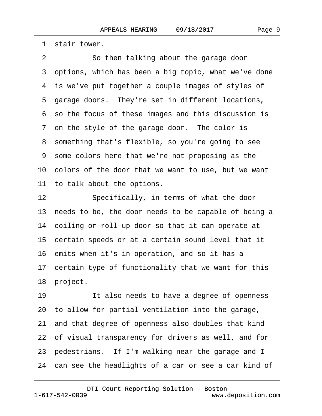1 stair tower. 2 So then talking about the garage door 3 options, which has been a big topic, what we've done 4 is we've put together a couple images of styles of 5 garage doors. They're set in different locations, ·6· so the focus of these images and this discussion is 7 on the style of the garage door. The color is 8 something that's flexible, so you're going to see ·9· some colors here that we're not proposing as the 10 colors of the door that we want to use, but we want 11 to talk about the options. 12 Specifically, in terms of what the door 13 needs to be, the door needs to be capable of being a 14 coiling or roll-up door so that it can operate at 15 certain speeds or at a certain sound level that it 16 emits when it's in operation, and so it has a 17 certain type of functionality that we want for this 18 project. 19 It also needs to have a degree of openness 20· to allow for partial ventilation into the garage, 21· and that degree of openness also doubles that kind

22 of visual transparency for drivers as well, and for

23 pedestrians. If I'm walking near the garage and I

24 can see the headlights of a car or see a car kind of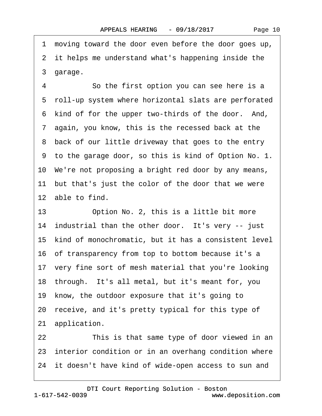·1· moving toward the door even before the door goes up, 2 it helps me understand what's happening inside the 3 garage. 4 So the first option you can see here is a ·5· roll-up system where horizontal slats are perforated 6 kind of for the upper two-thirds of the door. And, ·7· again, you know, this is the recessed back at the 8 back of our little driveway that goes to the entry ·9· to the garage door, so this is kind of Option No. 1. 10· We're not proposing a bright red door by any means, 11 but that's just the color of the door that we were 12 able to find. 13 Option No. 2, this is a little bit more 14 industrial than the other door. It's very -- just 15 kind of monochromatic, but it has a consistent level 16· of transparency from top to bottom because it's a 17 very fine sort of mesh material that you're looking 18 through. It's all metal, but it's meant for, you 19 know, the outdoor exposure that it's going to 20· receive, and it's pretty typical for this type of 21 application. 22 This is that same type of door viewed in an 23 interior condition or in an overhang condition where 24 it doesn't have kind of wide-open access to sun and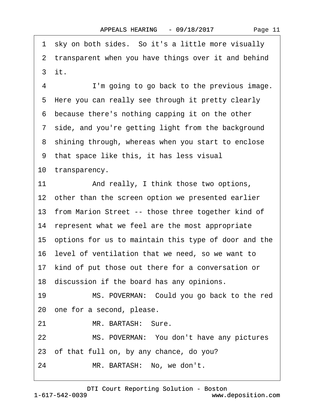1 sky on both sides. So it's a little more visually 2 transparent when you have things over it and behind ·3· it. 4 I'm going to go back to the previous image. 5 Here you can really see through it pretty clearly 6 because there's nothing capping it on the other 7 side, and you're getting light from the background 8 shining through, whereas when you start to enclose ·9· that space like this, it has less visual 10 transparency. 11 And really, I think those two options, 12 other than the screen option we presented earlier 13 from Marion Street -- those three together kind of 14 represent what we feel are the most appropriate 15· options for us to maintain this type of door and the 16· level of ventilation that we need, so we want to 17 kind of put those out there for a conversation or 18 discussion if the board has any opinions. 19 MS. POVERMAN: Could you go back to the red 20· one for a second, please. 21 MR. BARTASH: Sure. 22 MS. POVERMAN: You don't have any pictures 23· of that full on, by any chance, do you? 24 MR. BARTASH: No, we don't.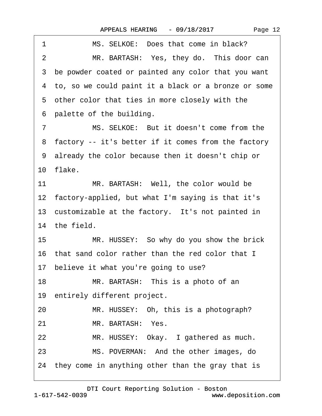| MS. SELKOE: Does that come in black?<br>1              |
|--------------------------------------------------------|
| MR. BARTASH: Yes, they do. This door can<br>2          |
| 3 be powder coated or painted any color that you want  |
| 4 to, so we could paint it a black or a bronze or some |
| 5 other color that ties in more closely with the       |
| 6 palette of the building.                             |
| MS. SELKOE: But it doesn't come from the<br>7          |
| 8 factory -- it's better if it comes from the factory  |
| 9 already the color because then it doesn't chip or    |
| 10 flake.                                              |
| 11<br>MR. BARTASH: Well, the color would be            |
| 12 factory-applied, but what I'm saying is that it's   |
| 13 customizable at the factory. It's not painted in    |
| 14 the field.                                          |
| MR. HUSSEY: So why do you show the brick<br>15         |
| 16 that sand color rather than the red color that I    |
| 17 believe it what you're going to use?                |
| 18<br>MR. BARTASH: This is a photo of an               |
| 19 entirely different project.                         |
| MR. HUSSEY: Oh, this is a photograph?<br>20            |
| MR. BARTASH: Yes.<br>21                                |
| MR. HUSSEY: Okay. I gathered as much.<br>22            |
| MS. POVERMAN: And the other images, do<br>23           |
| 24 they come in anything other than the gray that is   |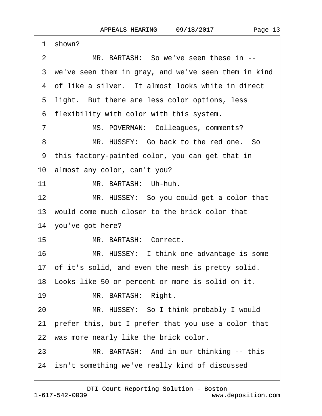|                 | 1 shown?                                               |
|-----------------|--------------------------------------------------------|
| 2               | MR. BARTASH: So we've seen these in --                 |
|                 | 3 we've seen them in gray, and we've seen them in kind |
|                 | 4 of like a silver. It almost looks white in direct    |
|                 | 5 light. But there are less color options, less        |
|                 | 6 flexibility with color with this system.             |
| $\overline{7}$  | MS. POVERMAN: Colleagues, comments?                    |
| 8               | MR. HUSSEY: Go back to the red one. So                 |
|                 | 9 this factory-painted color, you can get that in      |
|                 | 10 almost any color, can't you?                        |
| 11              | MR. BARTASH: Uh-huh.                                   |
| 12 <sup>2</sup> | MR. HUSSEY: So you could get a color that              |
|                 | 13 would come much closer to the brick color that      |
|                 | 14 you've got here?                                    |
| 15              | MR. BARTASH: Correct.                                  |
| 16              | MR. HUSSEY: I think one advantage is some              |
|                 | 17 of it's solid, and even the mesh is pretty solid.   |
|                 | 18 Looks like 50 or percent or more is solid on it.    |
| 19              | MR. BARTASH: Right.                                    |
| 20              | MR. HUSSEY: So I think probably I would                |
|                 | 21 prefer this, but I prefer that you use a color that |
|                 | 22 was more nearly like the brick color.               |
| 23              | MR. BARTASH: And in our thinking -- this               |
|                 | 24 isn't something we've really kind of discussed      |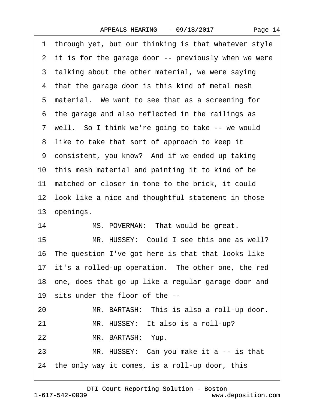1 through yet, but our thinking is that whatever style 2 it is for the garage door -- previously when we were 3 talking about the other material, we were saying 4 that the garage door is this kind of metal mesh 5 material. We want to see that as a screening for ·6· the garage and also reflected in the railings as 7 well. So I think we're going to take -- we would 8 like to take that sort of approach to keep it 9 consistent, you know? And if we ended up taking 10 this mesh material and painting it to kind of be 11 matched or closer in tone to the brick, it could 12 look like a nice and thoughtful statement in those 13 openings. 14 MS. POVERMAN: That would be great. 15 MR. HUSSEY: Could I see this one as well? 16 The question I've got here is that that looks like 17 it's a rolled-up operation. The other one, the red 18· one, does that go up like a regular garage door and 19 sits under the floor of the --20 MR. BARTASH: This is also a roll-up door. 21 MR. HUSSEY: It also is a roll-up? 22 MR. BARTASH: Yup. 23 MR. HUSSEY: Can you make it a -- is that 24 the only way it comes, is a roll-up door, this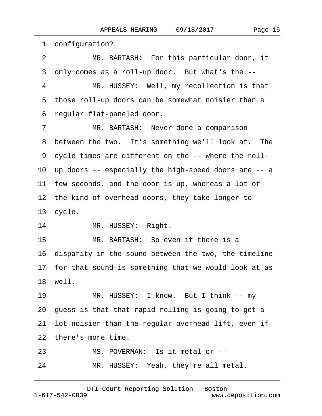1 configuration? 2 MR. BARTASH: For this particular door, it 3 only comes as a roll-up door. But what's the --4 MR. HUSSEY: Well, my recollection is that 5 those roll-up doors can be somewhat noisier than a ·6· regular flat-paneled door. 7 MR. BARTASH: Never done a comparison 8 between the two. It's something we'll look at. The ·9· cycle times are different on the -- where the roll-10 up doors -- especially the high-speed doors are -- a 11 few seconds, and the door is up, whereas a lot of 12 the kind of overhead doors, they take longer to 13 cycle. 14 MR. HUSSEY: Right. 15 MR. BARTASH: So even if there is a 16· disparity in the sound between the two, the timeline 17 for that sound is something that we would look at as 18· well. 19 MR. HUSSEY: I know. But I think -- my 20· guess is that that rapid rolling is going to get a 21 lot noisier than the regular overhead lift, even if

22 there's more time.

23 MS. POVERMAN: Is it metal or --

24 MR. HUSSEY: Yeah, they're all metal.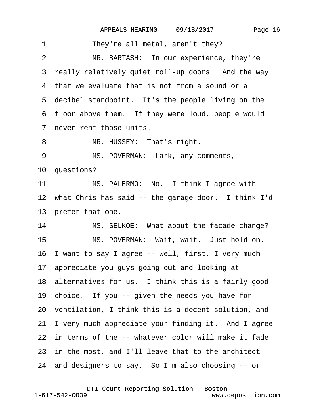| 1<br>They're all metal, aren't they?                       |
|------------------------------------------------------------|
| MR. BARTASH: In our experience, they're<br>2               |
| 3 really relatively quiet roll-up doors. And the way       |
| 4 that we evaluate that is not from a sound or a           |
| 5 decibel standpoint. It's the people living on the        |
| 6 floor above them. If they were loud, people would        |
| 7 never rent those units.                                  |
| MR. HUSSEY: That's right.<br>8                             |
| MS. POVERMAN: Lark, any comments,<br>9                     |
| 10 questions?                                              |
| MS. PALERMO: No. I think I agree with<br>11                |
| 12 what Chris has said -- the garage door. I think I'd     |
| 13 prefer that one.                                        |
| 14<br>MS. SELKOE: What about the facade change?            |
| 15 <sub>1</sub><br>MS. POVERMAN: Wait, wait. Just hold on. |
| 16 I want to say I agree -- well, first, I very much       |
| 17 appreciate you guys going out and looking at            |
| 18 alternatives for us. I think this is a fairly good      |
| 19 choice. If you -- given the needs you have for          |
| 20 ventilation, I think this is a decent solution, and     |
| 21 I very much appreciate your finding it. And I agree     |
| 22 in terms of the -- whatever color will make it fade     |
| 23 in the most, and I'll leave that to the architect       |
|                                                            |
| 24 and designers to say. So I'm also choosing -- or        |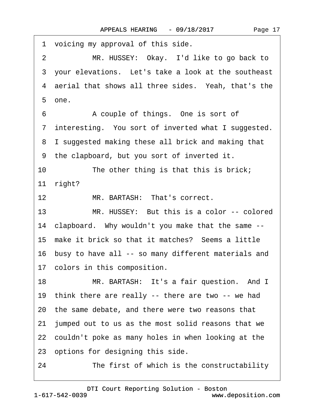1 voicing my approval of this side. 2 MR. HUSSEY: Okay. I'd like to go back to 3 your elevations. Let's take a look at the southeast 4 aerial that shows all three sides. Yeah, that's the 5 one. 6 • • A couple of things. One is sort of 7 interesting. You sort of inverted what I suggested. 8 I suggested making these all brick and making that ·9· the clapboard, but you sort of inverted it. 10 The other thing is that this is brick; 11 right? 12 MR. BARTASH: That's correct. 13 MR. HUSSEY: But this is a color -- colored 14 clapboard. Why wouldn't you make that the same --15 make it brick so that it matches? Seems a little 16 busy to have all -- so many different materials and 17 colors in this composition. 18 MR. BARTASH: It's a fair question. And I 19 think there are really -- there are two -- we had 20· the same debate, and there were two reasons that 21· jumped out to us as the most solid reasons that we 22 couldn't poke as many holes in when looking at the 23 options for designing this side. 24 The first of which is the constructability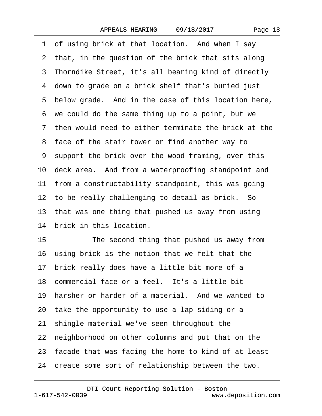|  | Page 18 |
|--|---------|
|--|---------|

1 of using brick at that location. And when I say 2 that, in the question of the brick that sits along 3 Thorndike Street, it's all bearing kind of directly 4 down to grade on a brick shelf that's buried just 5 below grade. And in the case of this location here, ·6· we could do the same thing up to a point, but we ·7· then would need to either terminate the brick at the 8 face of the stair tower or find another way to ·9· support the brick over the wood framing, over this 10 deck area. And from a waterproofing standpoint and 11 from a constructability standpoint, this was going 12 to be really challenging to detail as brick. So 13 that was one thing that pushed us away from using 14 brick in this location. 15 The second thing that pushed us away from 16 using brick is the notion that we felt that the 17 brick really does have a little bit more of a 18 commercial face or a feel. It's a little bit 19 harsher or harder of a material. And we wanted to 20· take the opportunity to use a lap siding or a 21· shingle material we've seen throughout the 22 neighborhood on other columns and put that on the 23· facade that was facing the home to kind of at least 24· create some sort of relationship between the two.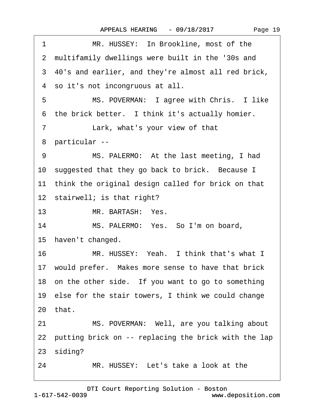| 1              | MR. HUSSEY: In Brookline, most of the                      |
|----------------|------------------------------------------------------------|
|                | 2 multifamily dwellings were built in the '30s and         |
|                | 3 40's and earlier, and they're almost all red brick,      |
|                | 4 so it's not incongruous at all.                          |
| 5              | MS. POVERMAN: I agree with Chris. I like                   |
|                | 6 the brick better. I think it's actually homier.          |
| 7 <sup>7</sup> | Lark, what's your view of that                             |
|                | 8 particular --                                            |
| 9              | MS. PALERMO: At the last meeting, I had                    |
|                | 10 suggested that they go back to brick. Because I         |
|                | 11 think the original design called for brick on that      |
|                | 12 stairwell; is that right?                               |
| 13             | MR. BARTASH: Yes.                                          |
| 14             | MS. PALERMO: Yes. So I'm on board,                         |
|                | 15 haven't changed.                                        |
|                | $16 \quad \Box$<br>MR. HUSSEY: Yeah. I think that's what I |
|                | 17 would prefer. Makes more sense to have that brick       |
|                | 18 on the other side. If you want to go to something       |
|                | 19 else for the stair towers, I think we could change      |
|                | 20 that.                                                   |
| 21             | MS. POVERMAN: Well, are you talking about                  |
|                | 22 putting brick on -- replacing the brick with the lap    |
|                | 23 siding?                                                 |
| 24             | MR. HUSSEY: Let's take a look at the                       |

15· haven't changed.

20

23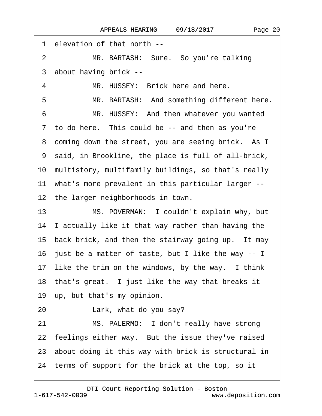| 1 elevation of that north --                           |
|--------------------------------------------------------|
| $\overline{2}$<br>MR. BARTASH: Sure. So you're talking |
| 3 about having brick --                                |
| MR. HUSSEY: Brick here and here.<br>4                  |
| MR. BARTASH: And something different here.<br>5        |
| 6<br>MR. HUSSEY: And then whatever you wanted          |
| 7 to do here. This could be -- and then as you're      |
| 8 coming down the street, you are seeing brick. As I   |
| 9 said, in Brookline, the place is full of all-brick,  |
| 10 multistory, multifamily buildings, so that's really |
| 11 what's more prevalent in this particular larger --  |
| 12 the larger neighborhoods in town.                   |
| 13<br>MS. POVERMAN: I couldn't explain why, but        |
| 14 I actually like it that way rather than having the  |
| 15 back brick, and then the stairway going up. It may  |
| 16 just be a matter of taste, but I like the way -- I  |
| 17 like the trim on the windows, by the way. I think   |
| 18 that's great. I just like the way that breaks it    |
| 19 up, but that's my opinion.                          |
| Lark, what do you say?<br>20                           |
| MS. PALERMO: I don't really have strong<br>21          |
| 22 feelings either way. But the issue they've raised   |
| 23 about doing it this way with brick is structural in |
| 24 terms of support for the brick at the top, so it    |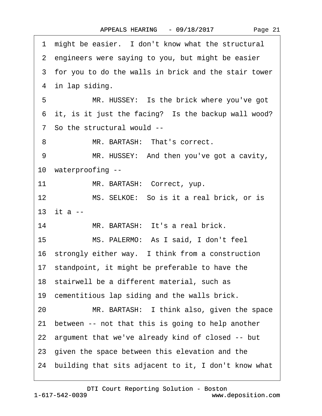| Page 21 |  |
|---------|--|
|---------|--|

|    | 1 might be easier. I don't know what the structural     |
|----|---------------------------------------------------------|
|    | 2 engineers were saying to you, but might be easier     |
|    | 3 for you to do the walls in brick and the stair tower  |
|    | 4 in lap siding.                                        |
| 5  | MR. HUSSEY: Is the brick where you've got               |
|    | 6 it, is it just the facing? Is the backup wall wood?   |
|    | 7 So the structural would --                            |
| 8  | MR. BARTASH: That's correct.                            |
| 9  | MR. HUSSEY: And then you've got a cavity,               |
|    | 10 waterproofing --                                     |
| 11 | MR. BARTASH: Correct, yup.                              |
| 12 | MS. SELKOE: So is it a real brick, or is                |
|    | 13 it a --                                              |
| 14 | MR. BARTASH: It's a real brick.                         |
| 15 | MS. PALERMO: As I said, I don't feel                    |
|    | 16 strongly either way. I think from a construction     |
|    | 17 standpoint, it might be preferable to have the       |
|    | 18 stairwell be a different material, such as           |
|    | 19 cementitious lap siding and the walls brick.         |
| 20 | MR. BARTASH: I think also, given the space              |
| 21 | between -- not that this is going to help another       |
|    | 22 argument that we've already kind of closed -- but    |
|    | 23 given the space between this elevation and the       |
|    | 24 building that sits adjacent to it, I don't know what |
|    |                                                         |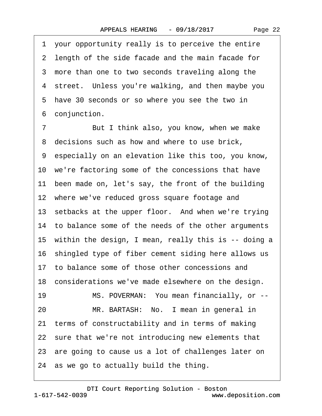·1· your opportunity really is to perceive the entire 2 length of the side facade and the main facade for 3 more than one to two seconds traveling along the 4 street. Unless you're walking, and then maybe you 5 have 30 seconds or so where you see the two in 6 conjunction.

7 But I think also, you know, when we make 8 decisions such as how and where to use brick, ·9· especially on an elevation like this too, you know, 10 we're factoring some of the concessions that have 11 been made on, let's say, the front of the building 12 where we've reduced gross square footage and 13 setbacks at the upper floor. And when we're trying 14 to balance some of the needs of the other arguments 15 within the design, I mean, really this is -- doing a 16 shingled type of fiber cement siding here allows us 17· to balance some of those other concessions and 18 considerations we've made elsewhere on the design. 19 MS. POVERMAN: You mean financially, or --20 MR. BARTASH: No. I mean in general in 21 terms of constructability and in terms of making 22 sure that we're not introducing new elements that 23· are going to cause us a lot of challenges later on 24· as we go to actually build the thing.

1-617-542-0039 [DTI Court Reporting Solution - Boston](http://www.deposition.com) www.deposition.com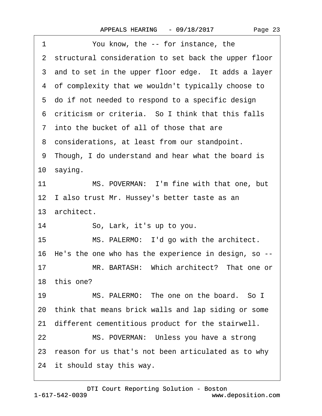| You know, the -- for instance, the<br>1                 |
|---------------------------------------------------------|
| 2 structural consideration to set back the upper floor  |
| 3 and to set in the upper floor edge. It adds a layer   |
| 4 of complexity that we wouldn't typically choose to    |
| 5 do if not needed to respond to a specific design      |
| 6 criticism or criteria. So I think that this falls     |
| 7 into the bucket of all of those that are              |
| 8 considerations, at least from our standpoint.         |
| 9 Though, I do understand and hear what the board is    |
| 10 saying.                                              |
| MS. POVERMAN: I'm fine with that one, but<br>11         |
| 12 I also trust Mr. Hussey's better taste as an         |
| 13 architect.                                           |
| 14<br>So, Lark, it's up to you.                         |
| MS. PALERMO: I'd go with the architect.<br>15           |
| 16 He's the one who has the experience in design, so -- |
| MR. BARTASH: Which architect? That one or<br>17         |
| 18 this one?                                            |
| MS. PALERMO: The one on the board. So I<br>19           |
| 20 think that means brick walls and lap siding or some  |
| 21 different cementitious product for the stairwell.    |
| MS. POVERMAN: Unless you have a strong<br>22            |
| 23 reason for us that's not been articulated as to why  |
| 24 it should stay this way.                             |
|                                                         |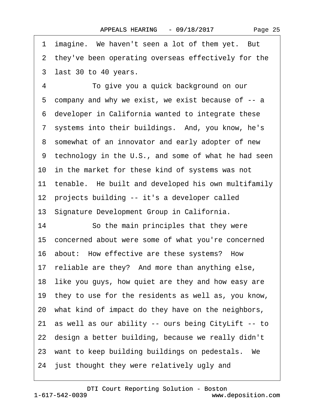1 imagine. We haven't seen a lot of them yet. But 2 they've been operating overseas effectively for the 3 last 30 to 40 years. 4 To give you a quick background on our 5 company and why we exist, we exist because of -- a ·6· developer in California wanted to integrate these 7 systems into their buildings. And, you know, he's 8 somewhat of an innovator and early adopter of new 9 technology in the U.S., and some of what he had seen 10 in the market for these kind of systems was not 11 tenable. He built and developed his own multifamily 12 projects building -- it's a developer called 13· Signature Development Group in California. 14 So the main principles that they were 15· concerned about were some of what you're concerned 16 about: How effective are these systems? How 17 reliable are they? And more than anything else, 18 like you guys, how quiet are they and how easy are 19 they to use for the residents as well as, you know, 20· what kind of impact do they have on the neighbors, 21 as well as our ability -- ours being CityLift -- to 22 design a better building, because we really didn't 23 want to keep building buildings on pedestals. We 24 just thought they were relatively ugly and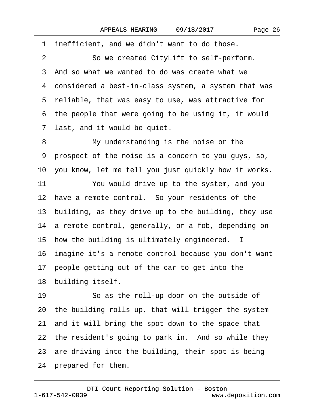1 inefficient, and we didn't want to do those. 2 So we created CityLift to self-perform. 3 And so what we wanted to do was create what we ·4· considered a best-in-class system, a system that was 5 reliable, that was easy to use, was attractive for 6 the people that were going to be using it, it would 7 last, and it would be quiet. 8 My understanding is the noise or the ·9· prospect of the noise is a concern to you guys, so, 10· you know, let me tell you just quickly how it works. 11 You would drive up to the system, and you 12 have a remote control. So your residents of the 13 building, as they drive up to the building, they use 14 a remote control, generally, or a fob, depending on 15 how the building is ultimately engineered. I 16 imagine it's a remote control because you don't want 17 people getting out of the car to get into the 18 building itself. 19 So as the roll-up door on the outside of 20· the building rolls up, that will trigger the system 21· and it will bring the spot down to the space that 22 the resident's going to park in. And so while they 23 are driving into the building, their spot is being

24 prepared for them.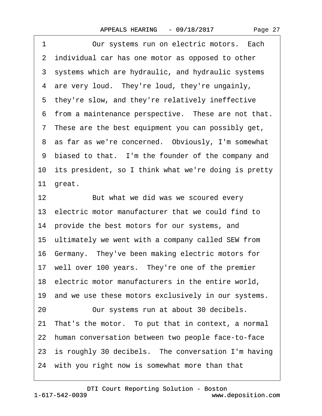| Page 27 |  |
|---------|--|
|---------|--|

1 Our systems run on electric motors. Each 2 individual car has one motor as opposed to other 3 systems which are hydraulic, and hydraulic systems 4 are very loud. They're loud, they're ungainly, 5 they're slow, and they're relatively ineffective 6 from a maintenance perspective. These are not that. ·7· These are the best equipment you can possibly get, 8 as far as we're concerned. Obviously, I'm somewhat 9 biased to that. I'm the founder of the company and 10 its president, so I think what we're doing is pretty 11 great. 12 But what we did was we scoured every 13· electric motor manufacturer that we could find to 14 provide the best motors for our systems, and 15 ultimately we went with a company called SEW from 16· Germany.· They've been making electric motors for 17 well over 100 years. They're one of the premier 18 electric motor manufacturers in the entire world, 19 and we use these motors exclusively in our systems. 20 Our systems run at about 30 decibels. 21· That's the motor.· To put that in context, a normal 22· human conversation between two people face-to-face 23 is roughly 30 decibels. The conversation I'm having 24 with you right now is somewhat more than that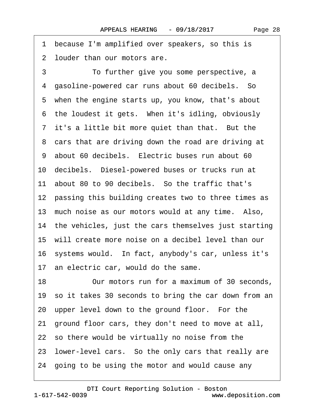1 because I'm amplified over speakers, so this is 2 louder than our motors are.

·3· · · · · ·To further give you some perspective, a 4 gasoline-powered car runs about 60 decibels. So 5 when the engine starts up, you know, that's about 6 the loudest it gets. When it's idling, obviously 7 it's a little bit more quiet than that. But the 8 cars that are driving down the road are driving at 9 about 60 decibels. Electric buses run about 60 10· decibels.· Diesel-powered buses or trucks run at 11 about 80 to 90 decibels. So the traffic that's 12 passing this building creates two to three times as 13 much noise as our motors would at any time. Also, 14 the vehicles, just the cars themselves just starting 15· will create more noise on a decibel level than our 16· systems would.· In fact, anybody's car, unless it's 17 an electric car, would do the same. 18 Our motors run for a maximum of 30 seconds, 19 so it takes 30 seconds to bring the car down from an 20 upper level down to the ground floor. For the 21· ground floor cars, they don't need to move at all, 22· so there would be virtually no noise from the 23· lower-level cars.· So the only cars that really are 24· going to be using the motor and would cause any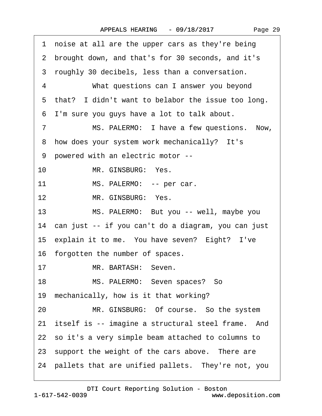|  | Page 29 |  |
|--|---------|--|
|--|---------|--|

·1· noise at all are the upper cars as they're being ·2· brought down, and that's for 30 seconds, and it's 3 roughly 30 decibels, less than a conversation. 4 What questions can I answer you beyond 5 that? I didn't want to belabor the issue too long. ·6· I'm sure you guys have a lot to talk about. 7 MS. PALERMO: I have a few questions. Now, 8 how does your system work mechanically? It's ·9· powered with an electric motor -- 10 MR. GINSBURG: Yes. 11 MS. PALERMO: -- per car. 12 MR. GINSBURG: Yes. 13 MS. PALERMO: But you -- well, maybe you 14 can just -- if you can't do a diagram, you can just 15 explain it to me. You have seven? Eight? I've 16 forgotten the number of spaces. 17 MR. BARTASH: Seven. 18 MS. PALERMO: Seven spaces? So 19 mechanically, how is it that working? 20 MR. GINSBURG: Of course. So the system 21 itself is -- imagine a structural steel frame. And 22· so it's a very simple beam attached to columns to 23 support the weight of the cars above. There are 24 pallets that are unified pallets. They're not, you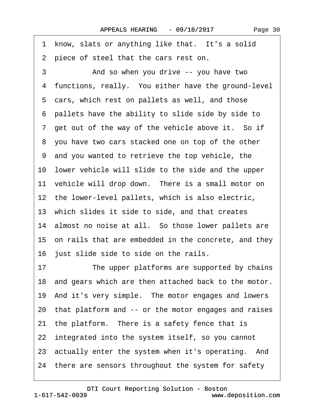1 know, slats or anything like that. It's a solid

2 piece of steel that the cars rest on. 3 • Canad so when you drive -- you have two 4 functions, really. You either have the ground-level 5 cars, which rest on pallets as well, and those ·6· pallets have the ability to slide side by side to 7 get out of the way of the vehicle above it. So if ·8· you have two cars stacked one on top of the other ·9· and you wanted to retrieve the top vehicle, the 10· lower vehicle will slide to the side and the upper 11 vehicle will drop down. There is a small motor on 12 the lower-level pallets, which is also electric, 13 which slides it side to side, and that creates 14 almost no noise at all. So those lower pallets are 15 on rails that are embedded in the concrete, and they 16 just slide side to side on the rails. 17 The upper platforms are supported by chains 18· and gears which are then attached back to the motor. 19· And it's very simple.· The motor engages and lowers 20· that platform and -- or the motor engages and raises 21 the platform. There is a safety fence that is 22 integrated into the system itself, so you cannot 23 actually enter the system when it's operating. And 24· there are sensors throughout the system for safety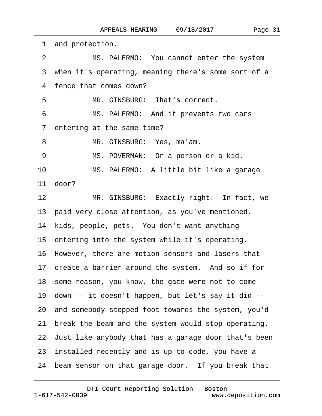| and protection.<br>1                                       |
|------------------------------------------------------------|
| MS. PALERMO: You cannot enter the system<br>$\overline{2}$ |
| 3 when it's operating, meaning there's some sort of a      |
| 4 fence that comes down?                                   |
| MR. GINSBURG: That's correct.<br>5                         |
| 6<br>MS. PALERMO: And it prevents two cars                 |
| 7 entering at the same time?                               |
| MR. GINSBURG: Yes, ma'am.<br>8                             |
| MS. POVERMAN: Or a person or a kid.<br>9                   |
| 10<br>MS. PALERMO: A little bit like a garage              |
| 11 door?                                                   |
| 12<br>MR. GINSBURG: Exactly right. In fact, we             |
| 13 paid very close attention, as you've mentioned,         |
| 14 kids, people, pets. You don't want anything             |
| 15 entering into the system while it's operating.          |
| 16 However, there are motion sensors and lasers that       |
| 17 create a barrier around the system. And so if for       |
| 18 some reason, you know, the gate were not to come        |
| 19 down -- it doesn't happen, but let's say it did --      |
| 20 and somebody stepped foot towards the system, you'd     |
| break the beam and the system would stop operating.<br>21  |
| 22 Just like anybody that has a garage door that's been    |
| 23 installed recently and is up to code, you have a        |
| 24 beam sensor on that garage door. If you break that      |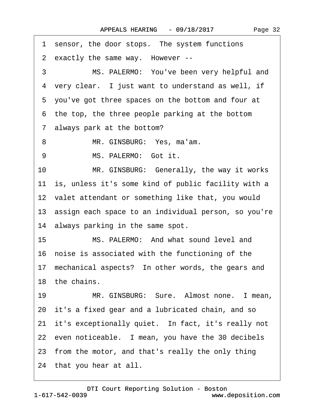1 sensor, the door stops. The system functions 2 exactly the same way. However --3 MS. PALERMO: You've been very helpful and 4 very clear. I just want to understand as well, if ·5· you've got three spaces on the bottom and four at 6 the top, the three people parking at the bottom 7 always park at the bottom? 8 MR. GINSBURG: Yes, ma'am. 9 MS. PALERMO: Got it. 10 MR. GINSBURG: Generally, the way it works 11 is, unless it's some kind of public facility with a 12 valet attendant or something like that, you would 13· assign each space to an individual person, so you're 14 always parking in the same spot. 15 MS. PALERMO: And what sound level and 16 noise is associated with the functioning of the 17 mechanical aspects? In other words, the gears and 18 the chains. 19 MR. GINSBURG: Sure. Almost none. I mean, 20· it's a fixed gear and a lubricated chain, and so 21 it's exceptionally quiet. In fact, it's really not 22 even noticeable. I mean, you have the 30 decibels 23· from the motor, and that's really the only thing 24· that you hear at all.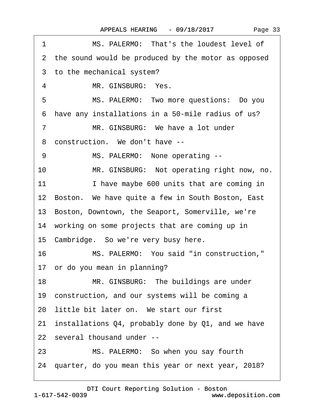|  | Page 33 |  |
|--|---------|--|
|--|---------|--|

| 1  | MS. PALERMO: That's the loudest level of              |
|----|-------------------------------------------------------|
|    | 2 the sound would be produced by the motor as opposed |
|    | 3 to the mechanical system?                           |
| 4  | MR. GINSBURG: Yes.                                    |
| 5  | MS. PALERMO: Two more questions: Do you               |
|    | 6 have any installations in a 50-mile radius of us?   |
| 7  | MR. GINSBURG: We have a lot under                     |
| 8  | construction. We don't have --                        |
| 9  | MS. PALERMO: None operating --                        |
| 10 | MR. GINSBURG: Not operating right now, no.            |
| 11 | I have maybe 600 units that are coming in             |
|    | 12 Boston. We have quite a few in South Boston, East  |
|    | 13 Boston, Downtown, the Seaport, Somerville, we're   |
|    | 14 working on some projects that are coming up in     |
|    | 15 Cambridge. So we're very busy here.                |
| 16 | MS. PALERMO: You said "in construction,"              |
|    | 17 or do you mean in planning?                        |
| 18 | MR. GINSBURG: The buildings are under                 |
|    | 19 construction, and our systems will be coming a     |
|    | 20 little bit later on. We start our first            |
|    | 21 installations Q4, probably done by Q1, and we have |
|    | 22 several thousand under --                          |
| 23 | MS. PALERMO: So when you say fourth                   |
|    | 24 quarter, do you mean this year or next year, 2018? |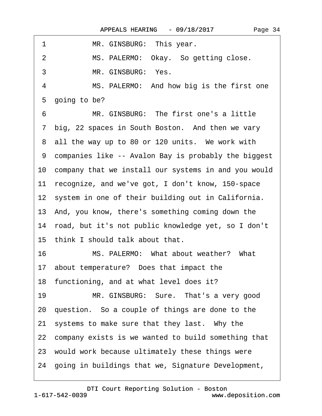| 1<br>MR. GINSBURG: This year.                               |
|-------------------------------------------------------------|
| MS. PALERMO: Okay. So getting close.<br>2                   |
| 3<br>MR. GINSBURG: Yes.                                     |
| $\overline{4}$<br>MS. PALERMO: And how big is the first one |
| 5 going to be?                                              |
| MR. GINSBURG: The first one's a little<br>6                 |
| 7 big, 22 spaces in South Boston. And then we vary          |
| 8 all the way up to 80 or 120 units. We work with           |
| 9 companies like -- Avalon Bay is probably the biggest      |
| 10 company that we install our systems in and you would     |
| 11 recognize, and we've got, I don't know, 150-space        |
| 12 system in one of their building out in California.       |
| 13 And, you know, there's something coming down the         |
| 14 road, but it's not public knowledge yet, so I don't      |
| 15 think I should talk about that.                          |
| 16<br>MS. PALERMO: What about weather? What                 |
| 17 about temperature? Does that impact the                  |
| 18 functioning, and at what level does it?                  |
| MR. GINSBURG: Sure. That's a very good<br>19                |
| 20 question. So a couple of things are done to the          |
| 21 systems to make sure that they last. Why the             |
| 22 company exists is we wanted to build something that      |
| 23 would work because ultimately these things were          |
| 24 going in buildings that we, Signature Development,       |

 $\Gamma$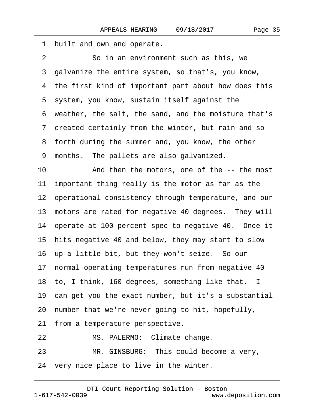1 built and own and operate. 2 **So in an environment such as this, we** ·3· galvanize the entire system, so that's, you know, 4 the first kind of important part about how does this 5 system, you know, sustain itself against the ·6· weather, the salt, the sand, and the moisture that's ·7· created certainly from the winter, but rain and so 8 forth during the summer and, you know, the other ·9· months.· The pallets are also galvanized. 10 And then the motors, one of the -- the most 11 important thing really is the motor as far as the 12· operational consistency through temperature, and our 13 motors are rated for negative 40 degrees. They will 14 operate at 100 percent spec to negative 40. Once it 15· hits negative 40 and below, they may start to slow 16 up a little bit, but they won't seize. So our 17 normal operating temperatures run from negative 40 18· to, I think, 160 degrees, something like that. I 19 can get you the exact number, but it's a substantial 20· number that we're never going to hit, hopefully, 21 from a temperature perspective. 22 MS. PALERMO: Climate change. 23 MR. GINSBURG: This could become a very, 24 very nice place to live in the winter.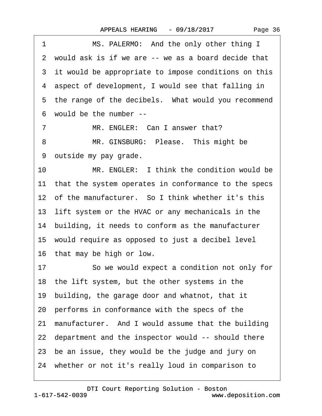1 MS. PALERMO: And the only other thing I ·2· would ask is if we are -- we as a board decide that 3 it would be appropriate to impose conditions on this 4 aspect of development, I would see that falling in 5 the range of the decibels. What would you recommend ·6· would be the number -- 7 MR. ENGLER: Can I answer that?

8 MR. GINSBURG: Please. This might be ·9· outside my pay grade.

10 MR. ENGLER: I think the condition would be 11 that the system operates in conformance to the specs 12 of the manufacturer. So I think whether it's this 13 lift system or the HVAC or any mechanicals in the 14 building, it needs to conform as the manufacturer 15· would require as opposed to just a decibel level 16· that may be high or low.

17 • So we would expect a condition not only for 18· the lift system, but the other systems in the 19 building, the garage door and whatnot, that it 20· performs in conformance with the specs of the 21 manufacturer. And I would assume that the building 22· department and the inspector would -- should there 23· be an issue, they would be the judge and jury on 24· whether or not it's really loud in comparison to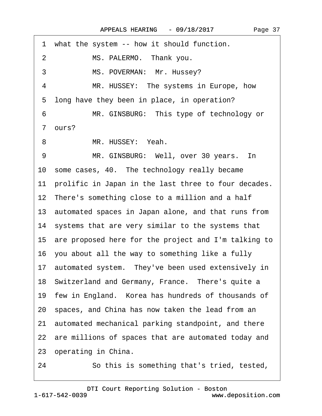<span id="page-36-0"></span> $\Gamma$ 

| 1 what the system -- how it should function.             |
|----------------------------------------------------------|
| MS. PALERMO. Thank you.<br>$\overline{2}$                |
| MS. POVERMAN: Mr. Hussey?<br>3                           |
| 4<br>MR. HUSSEY: The systems in Europe, how              |
| 5 long have they been in place, in operation?            |
| MR. GINSBURG: This type of technology or<br>6            |
| 7 ours?                                                  |
| 8<br>MR. HUSSEY: Yeah.                                   |
| 9<br>MR. GINSBURG: Well, over 30 years. In               |
| 10 some cases, 40. The technology really became          |
| 11 prolific in Japan in the last three to four decades.  |
| 12 There's something close to a million and a half       |
| 13 automated spaces in Japan alone, and that runs from   |
| 14 systems that are very similar to the systems that     |
| 15 are proposed here for the project and I'm talking to  |
| 16 you about all the way to something like a fully       |
| 17 automated system. They've been used extensively in    |
| 18 Switzerland and Germany, France. There's quite a      |
| 19 few in England. Korea has hundreds of thousands of    |
| 20 spaces, and China has now taken the lead from an      |
| automated mechanical parking standpoint, and there<br>21 |
| 22 are millions of spaces that are automated today and   |
| 23 operating in China.                                   |
| So this is something that's tried, tested,<br>24         |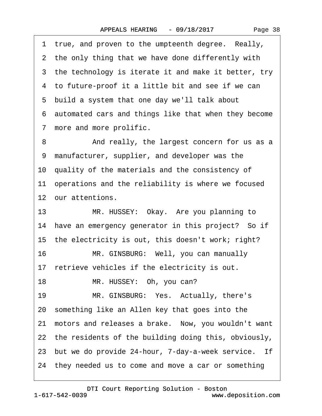<span id="page-37-0"></span>1 true, and proven to the umpteenth degree. Really, 2 the only thing that we have done differently with 3 the technology is iterate it and make it better, try 4 to future-proof it a little bit and see if we can 5 build a system that one day we'll talk about ·6· automated cars and things like that when they become 7 more and more prolific. 8 • • And really, the largest concern for us as a ·9· manufacturer, supplier, and developer was the 10· quality of the materials and the consistency of 11 operations and the reliability is where we focused 12 our attentions. 13 MR. HUSSEY: Okay. Are you planning to 14 have an emergency generator in this project? So if 15 the electricity is out, this doesn't work; right? 16 MR. GINSBURG: Well, you can manually 17 retrieve vehicles if the electricity is out. 18 MR. HUSSEY: Oh, you can? 19 MR. GINSBURG: Yes. Actually, there's 20· something like an Allen key that goes into the 21 motors and releases a brake. Now, you wouldn't want 22 the residents of the building doing this, obviously, 23 but we do provide 24-hour, 7-day-a-week service. If

24· they needed us to come and move a car or something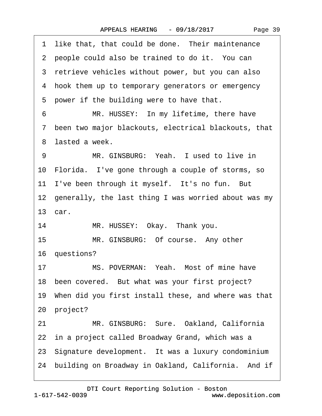<span id="page-38-0"></span>

| 1 like that, that could be done. Their maintenance        |
|-----------------------------------------------------------|
| 2 people could also be trained to do it. You can          |
| 3 retrieve vehicles without power, but you can also       |
| 4 hook them up to temporary generators or emergency       |
| 5 power if the building were to have that.                |
| MR. HUSSEY: In my lifetime, there have<br>6               |
| 7 been two major blackouts, electrical blackouts, that    |
| 8 lasted a week.                                          |
| MR. GINSBURG: Yeah. I used to live in<br>9                |
| 10 Florida. I've gone through a couple of storms, so      |
| 11 I've been through it myself. It's no fun. But          |
| 12 generally, the last thing I was worried about was my   |
| 13 car.                                                   |
| 14<br>MR. HUSSEY: Okay. Thank you.                        |
| 15<br>MR. GINSBURG: Of course. Any other                  |
| 16 questions?                                             |
| MS. POVERMAN: Yeah. Most of mine have<br>17               |
| 18 been covered. But what was your first project?         |
| 19 When did you first install these, and where was that   |
| 20 project?                                               |
| MR. GINSBURG: Sure. Oakland, California<br>21             |
| 22 in a project called Broadway Grand, which was a        |
| 23 Signature development. It was a luxury condominium     |
| building on Broadway in Oakland, California. And if<br>24 |
|                                                           |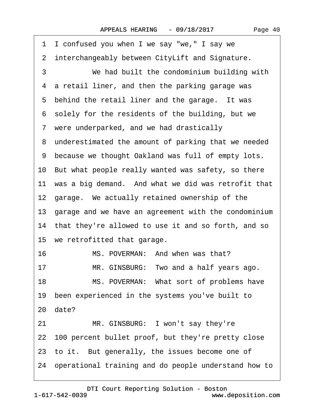<span id="page-39-0"></span>

| 1 I confused you when I we say "we," I say we           |
|---------------------------------------------------------|
| 2 interchangeably between CityLift and Signature.       |
| 3<br>We had built the condominium building with         |
| 4 a retail liner, and then the parking garage was       |
| 5 behind the retail liner and the garage. It was        |
| 6 solely for the residents of the building, but we      |
| 7 were underparked, and we had drastically              |
| 8 underestimated the amount of parking that we needed   |
| 9 because we thought Oakland was full of empty lots.    |
| 10 But what people really wanted was safety, so there   |
| 11 was a big demand. And what we did was retrofit that  |
| 12 garage. We actually retained ownership of the        |
| 13 garage and we have an agreement with the condominium |
| 14 that they're allowed to use it and so forth, and so  |
| 15 we retrofitted that garage.                          |
| 16<br>MS. POVERMAN: And when was that?                  |
| MR. GINSBURG: Two and a half years ago.<br>17           |
| 18<br>MS. POVERMAN: What sort of problems have          |
| been experienced in the systems you've built to<br>19   |
| 20 date?                                                |
| MR. GINSBURG: I won't say they're<br>21                 |
| 22 100 percent bullet proof, but they're pretty close   |
| 23 to it. But generally, the issues become one of       |
| 24 operational training and do people understand how to |
|                                                         |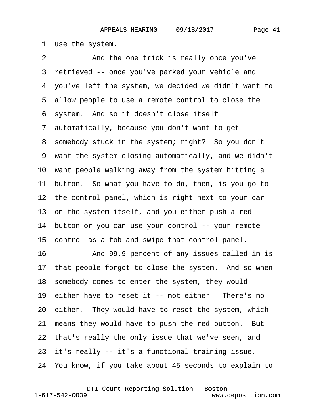2 And the one trick is really once you've 3 retrieved -- once you've parked your vehicle and ·4· you've left the system, we decided we didn't want to ·5· allow people to use a remote control to close the 6 system. And so it doesn't close itself ·7· automatically, because you don't want to get 8 somebody stuck in the system; right? So you don't ·9· want the system closing automatically, and we didn't 10 want people walking away from the system hitting a 11 button. So what you have to do, then, is you go to 12 the control panel, which is right next to your car 13 on the system itself, and you either push a red 14 button or you can use your control -- your remote 15 control as a fob and swipe that control panel. 16 • • And 99.9 percent of any issues called in is 17 that people forgot to close the system. And so when 18· somebody comes to enter the system, they would 19 either have to reset it -- not either. There's no 20 either. They would have to reset the system, which 21 means they would have to push the red button. But 22 that's really the only issue that we've seen, and 23 it's really -- it's a functional training issue.

24· You know, if you take about 45 seconds to explain to

[DTI Court Reporting Solution - Boston](http://www.deposition.com)

<span id="page-40-0"></span>1 use the system.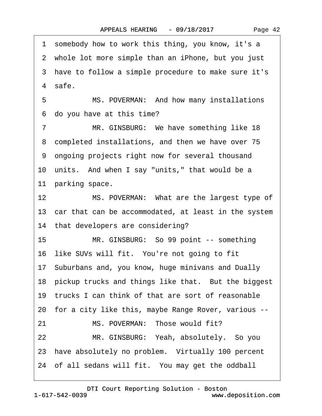<span id="page-41-0"></span>·1· somebody how to work this thing, you know, it's a 2 whole lot more simple than an iPhone, but you just ·3· have to follow a simple procedure to make sure it's 4 safe. 5 MS. POVERMAN: And how many installations ·6· do you have at this time? 7 MR. GINSBURG: We have something like 18 8 completed installations, and then we have over 75 ·9· ongoing projects right now for several thousand 10 units. And when I say "units," that would be a 11 parking space. 12 MS. POVERMAN: What are the largest type of 13 car that can be accommodated, at least in the system 14 that developers are considering? 15 MR. GINSBURG: So 99 point -- something 16 like SUVs will fit. You're not going to fit 17· Suburbans and, you know, huge minivans and Dually 18 pickup trucks and things like that. But the biggest 19· trucks I can think of that are sort of reasonable 20· for a city like this, maybe Range Rover, various -- 21 MS. POVERMAN: Those would fit? 22 MR. GINSBURG: Yeah, absolutely. So you 23 have absolutely no problem. Virtually 100 percent 24 of all sedans will fit. You may get the oddball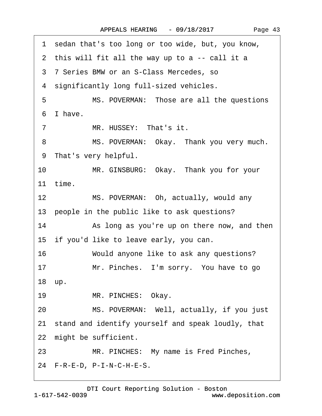<span id="page-42-0"></span>

|                   | 1 sedan that's too long or too wide, but, you know,   |
|-------------------|-------------------------------------------------------|
|                   | 2 this will fit all the way up to a -- call it a      |
|                   | 3 7 Series BMW or an S-Class Mercedes, so             |
|                   | 4 significantly long full-sized vehicles.             |
| 5                 | MS. POVERMAN: Those are all the questions             |
|                   | 6 I have.                                             |
| $\overline{7}$    | MR. HUSSEY: That's it.                                |
| 8                 | MS. POVERMAN: Okay. Thank you very much.              |
| 9                 | That's very helpful.                                  |
| 10                | MR. GINSBURG: Okay. Thank you for your                |
|                   | 11 time.                                              |
| $12 \overline{ }$ | MS. POVERMAN: Oh, actually, would any                 |
|                   | 13 people in the public like to ask questions?        |
| 14                | As long as you're up on there now, and then           |
|                   | 15 if you'd like to leave early, you can.             |
| 16                | Would anyone like to ask any questions?               |
| 17                | Mr. Pinches. I'm sorry. You have to go                |
|                   | 18 up.                                                |
| 19                | MR. PINCHES: Okay.                                    |
| 20                | MS. POVERMAN: Well, actually, if you just             |
|                   | 21 stand and identify yourself and speak loudly, that |
|                   | 22 might be sufficient.                               |
| 23                | MR. PINCHES: My name is Fred Pinches,                 |
|                   | 24 F-R-E-D, P-I-N-C-H-E-S.                            |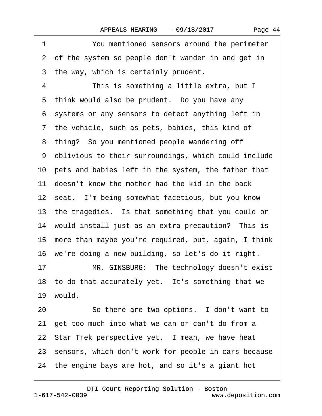<span id="page-43-0"></span>1 You mentioned sensors around the perimeter 2 of the system so people don't wander in and get in 3 the way, which is certainly prudent. 4 This is something a little extra, but I 5 think would also be prudent. Do you have any ·6· systems or any sensors to detect anything left in 7 the vehicle, such as pets, babies, this kind of 8 thing? So you mentioned people wandering off ·9· oblivious to their surroundings, which could include 10 pets and babies left in the system, the father that 11 doesn't know the mother had the kid in the back 12 seat. I'm being somewhat facetious, but you know 13 the tragedies. Is that something that you could or 14 would install just as an extra precaution? This is 15· more than maybe you're required, but, again, I think 16· we're doing a new building, so let's do it right. 17 MR. GINSBURG: The technology doesn't exist 18 to do that accurately yet. It's something that we 19 would. 20 · · So there are two options. I don't want to 21· get too much into what we can or can't do from a 22 Star Trek perspective yet. I mean, we have heat 23 sensors, which don't work for people in cars because 24· the engine bays are hot, and so it's a giant hot

1-617-542-0039 [DTI Court Reporting Solution - Boston](http://www.deposition.com)

www.deposition.com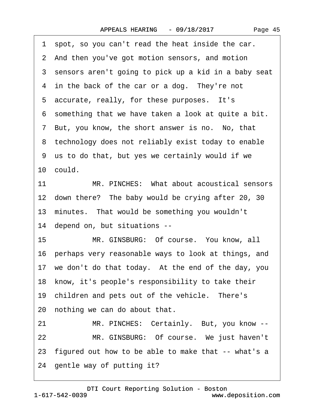<span id="page-44-0"></span>

| 1 spot, so you can't read the heat inside the car.        |
|-----------------------------------------------------------|
| 2 And then you've got motion sensors, and motion          |
| 3 sensors aren't going to pick up a kid in a baby seat    |
| 4 in the back of the car or a dog. They're not            |
| 5 accurate, really, for these purposes. It's              |
| 6 something that we have taken a look at quite a bit.     |
| 7 But, you know, the short answer is no. No, that         |
| 8 technology does not reliably exist today to enable      |
| 9 us to do that, but yes we certainly would if we         |
| 10 could.                                                 |
| MR. PINCHES: What about acoustical sensors<br>11          |
| 12 down there? The baby would be crying after 20, 30      |
| 13 minutes. That would be something you wouldn't          |
| 14 depend on, but situations --                           |
| MR. GINSBURG: Of course. You know, all<br>15 <sub>1</sub> |
| 16 perhaps very reasonable ways to look at things, and    |
| 17 we don't do that today. At the end of the day, you     |
| 18 know, it's people's responsibility to take their       |
| 19 children and pets out of the vehicle. There's          |
| 20 nothing we can do about that.                          |
| MR. PINCHES: Certainly. But, you know --<br>21            |
| MR. GINSBURG: Of course. We just haven't<br>22            |
| 23 figured out how to be able to make that -- what's a    |
| 24 gentle way of putting it?                              |

1-617-542-0039 [DTI Court Reporting Solution - Boston](http://www.deposition.com) www.deposition.com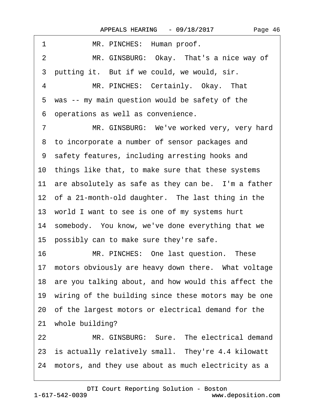<span id="page-45-0"></span>

| 1<br>MR. PINCHES: Human proof.                          |
|---------------------------------------------------------|
| MR. GINSBURG: Okay. That's a nice way of<br>2           |
| 3 putting it. But if we could, we would, sir.           |
| MR. PINCHES: Certainly. Okay. That<br>4                 |
| 5 was -- my main question would be safety of the        |
| operations as well as convenience.<br>6                 |
| MR. GINSBURG: We've worked very, very hard<br>7         |
| 8 to incorporate a number of sensor packages and        |
| 9 safety features, including arresting hooks and        |
| 10 things like that, to make sure that these systems    |
| 11 are absolutely as safe as they can be. I'm a father  |
| 12 of a 21-month-old daughter. The last thing in the    |
| 13 world I want to see is one of my systems hurt        |
| 14 somebody. You know, we've done everything that we    |
| 15 possibly can to make sure they're safe.              |
| MR. PINCHES: One last question. These<br>16             |
| 17 motors obviously are heavy down there. What voltage  |
| 18 are you talking about, and how would this affect the |
| 19 wiring of the building since these motors may be one |
| 20 of the largest motors or electrical demand for the   |
| 21 whole building?                                      |
| MR. GINSBURG: Sure. The electrical demand<br>22         |
| 23 is actually relatively small. They're 4.4 kilowatt   |
| 24 motors, and they use about as much electricity as a  |
|                                                         |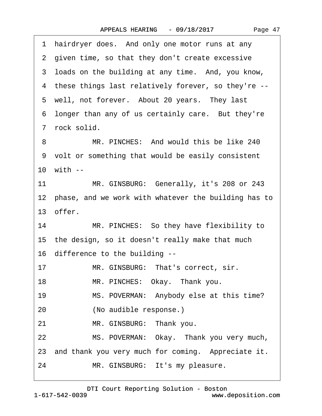|  | Page 47 |  |
|--|---------|--|
|--|---------|--|

<span id="page-46-0"></span>

|    | 1 hairdryer does. And only one motor runs at any        |
|----|---------------------------------------------------------|
|    | 2 given time, so that they don't create excessive       |
|    | 3 loads on the building at any time. And, you know,     |
|    | 4 these things last relatively forever, so they're --   |
|    | 5 well, not forever. About 20 years. They last          |
|    | 6 longer than any of us certainly care. But they're     |
|    | 7 rock solid.                                           |
| 8  | MR. PINCHES: And would this be like 240                 |
|    | 9 volt or something that would be easily consistent     |
|    | 10 with --                                              |
| 11 | MR. GINSBURG: Generally, it's 208 or 243                |
|    | 12 phase, and we work with whatever the building has to |
|    | 13 offer.                                               |
| 14 | MR. PINCHES: So they have flexibility to                |
|    | 15 the design, so it doesn't really make that much      |
|    | 16 difference to the building --                        |
| 17 | MR. GINSBURG: That's correct, sir.                      |
| 18 | MR. PINCHES: Okay. Thank you.                           |
| 19 | MS. POVERMAN: Anybody else at this time?                |
| 20 | (No audible response.)                                  |
| 21 | MR. GINSBURG: Thank you.                                |
| 22 | MS. POVERMAN: Okay. Thank you very much,                |
|    | 23 and thank you very much for coming. Appreciate it.   |
| 24 | MR. GINSBURG: It's my pleasure.                         |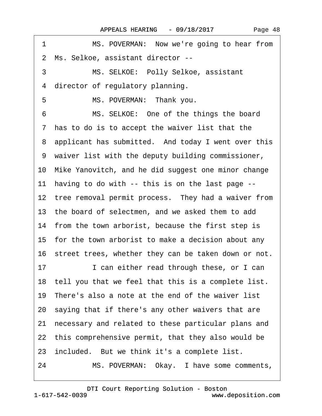<span id="page-47-0"></span>

| MS. POVERMAN: Now we're going to hear from<br>1         |
|---------------------------------------------------------|
| 2 Ms. Selkoe, assistant director --                     |
| 3<br>MS. SELKOE: Polly Selkoe, assistant                |
| director of regulatory planning.<br>4                   |
| 5<br>MS. POVERMAN: Thank you.                           |
| MS. SELKOE: One of the things the board<br>6            |
| 7 has to do is to accept the waiver list that the       |
| 8 applicant has submitted. And today I went over this   |
| 9 waiver list with the deputy building commissioner,    |
| 10 Mike Yanovitch, and he did suggest one minor change  |
| 11 having to do with -- this is on the last page --     |
| 12 tree removal permit process. They had a waiver from  |
| 13 the board of selectmen, and we asked them to add     |
| 14 from the town arborist, because the first step is    |
| 15 for the town arborist to make a decision about any   |
| 16 street trees, whether they can be taken down or not. |
| 17<br>I can either read through these, or I can         |
| 18 tell you that we feel that this is a complete list.  |
| 19 There's also a note at the end of the waiver list    |
| 20 saying that if there's any other waivers that are    |
| 21 necessary and related to these particular plans and  |
| 22 this comprehensive permit, that they also would be   |
| 23 included. But we think it's a complete list.         |
| MS. POVERMAN: Okay. I have some comments,<br>24         |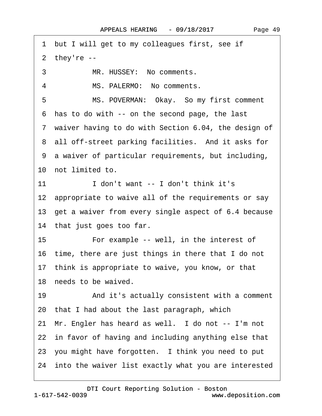<span id="page-48-0"></span>1 but I will get to my colleagues first, see if  $2$  they're  $-$ 3 MR. HUSSEY: No comments. 4 MS. PALERMO: No comments. 5 MS. POVERMAN: Okay. So my first comment ·6· has to do with -- on the second page, the last 7 waiver having to do with Section 6.04, the design of 8 all off-street parking facilities. And it asks for ·9· a waiver of particular requirements, but including, 10 not limited to. 11· · · · · ·I don't want -- I don't think it's 12 appropriate to waive all of the requirements or say 13· get a waiver from every single aspect of 6.4 because 14 that just goes too far. 15 • • • For example -- well, in the interest of 16· time, there are just things in there that I do not 17 think is appropriate to waive, you know, or that 18 needs to be waived. 19 • And it's actually consistent with a comment 20· that I had about the last paragraph, which 21· Mr. Engler has heard as well.· I do not -- I'm not 22 in favor of having and including anything else that 23 you might have forgotten. I think you need to put 24 into the waiver list exactly what you are interested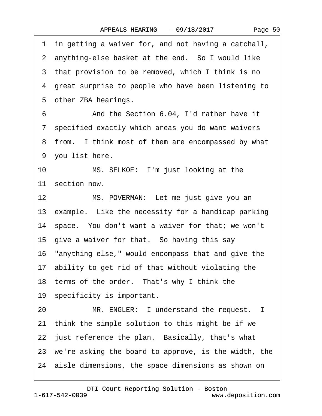<span id="page-49-0"></span>·1· in getting a waiver for, and not having a catchall, 2 anything-else basket at the end. So I would like 3 that provision to be removed, which I think is no 4 great surprise to people who have been listening to 5 other ZBA hearings. ·6· · · · · ·And the Section 6.04, I'd rather have it ·7· specified exactly which areas you do want waivers 8 from. I think most of them are encompassed by what 9 you list here. 10 MS. SELKOE: I'm just looking at the 11 section now. 12 MS. POVERMAN: Let me just give you an 13 example. Like the necessity for a handicap parking 14· space.· You don't want a waiver for that; we won't 15 give a waiver for that. So having this say 16· "anything else," would encompass that and give the 17· ability to get rid of that without violating the 18 terms of the order. That's why I think the 19 specificity is important. 20 MR. ENGLER: I understand the request. I 21· think the simple solution to this might be if we 22 just reference the plan. Basically, that's what 23· we're asking the board to approve, is the width, the 24· aisle dimensions, the space dimensions as shown on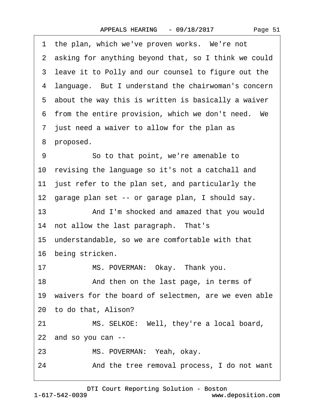| Page 51 |  |
|---------|--|
|---------|--|

<span id="page-50-0"></span>

|    | 1 the plan, which we've proven works. We're not         |
|----|---------------------------------------------------------|
|    | 2 asking for anything beyond that, so I think we could  |
|    | 3 leave it to Polly and our counsel to figure out the   |
|    | 4 language. But I understand the chairwoman's concern   |
|    | 5 about the way this is written is basically a waiver   |
|    | 6 from the entire provision, which we don't need. We    |
|    | 7 just need a waiver to allow for the plan as           |
|    | 8 proposed.                                             |
| 9  | So to that point, we're amenable to                     |
|    | 10 revising the language so it's not a catchall and     |
|    | 11 just refer to the plan set, and particularly the     |
|    | 12 garage plan set -- or garage plan, I should say.     |
| 13 | And I'm shocked and amazed that you would               |
|    | 14 not allow the last paragraph. That's                 |
|    | 15 understandable, so we are comfortable with that      |
|    | 16 being stricken.                                      |
| 17 | MS. POVERMAN: Okay. Thank you.                          |
| 18 | And then on the last page, in terms of                  |
|    | 19 waivers for the board of selectmen, are we even able |
|    | 20 to do that, Alison?                                  |
| 21 | MS. SELKOE: Well, they're a local board,                |
|    | 22 and so you can --                                    |
| 23 | MS. POVERMAN: Yeah, okay.                               |
| 24 | And the tree removal process, I do not want             |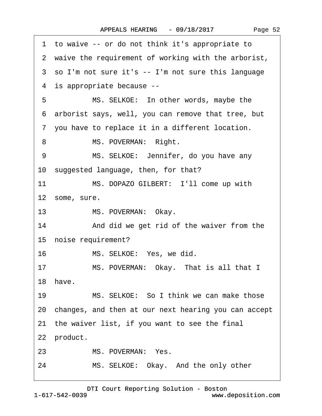<span id="page-51-0"></span>

|    | 1 to waive -- or do not think it's appropriate to       |
|----|---------------------------------------------------------|
|    | 2 waive the requirement of working with the arborist,   |
|    | 3 so I'm not sure it's -- I'm not sure this language    |
|    | 4 is appropriate because --                             |
| 5  | MS. SELKOE: In other words, maybe the                   |
|    | 6 arborist says, well, you can remove that tree, but    |
|    | 7 you have to replace it in a different location.       |
| 8  | MS. POVERMAN: Right.                                    |
| 9  | MS. SELKOE: Jennifer, do you have any                   |
|    | 10 suggested language, then, for that?                  |
| 11 | MS. DOPAZO GILBERT: I'll come up with                   |
|    | 12 some, sure.                                          |
| 13 | MS. POVERMAN: Okay.                                     |
| 14 | And did we get rid of the waiver from the               |
|    | 15 noise requirement?                                   |
| 16 | MS. SELKOE: Yes, we did.                                |
| 17 | MS. POVERMAN: Okay. That is all that I                  |
|    | 18 have.                                                |
| 19 | MS. SELKOE: So I think we can make those                |
|    | 20 changes, and then at our next hearing you can accept |
|    | 21 the waiver list, if you want to see the final        |
|    | 22 product.                                             |
| 23 | MS. POVERMAN: Yes.                                      |
| 24 | MS. SELKOE: Okay. And the only other                    |
|    |                                                         |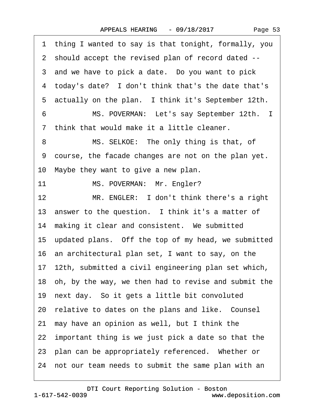|  | Page 53 |  |
|--|---------|--|
|--|---------|--|

<span id="page-52-0"></span>·1· thing I wanted to say is that tonight, formally, you ·2· should accept the revised plan of record dated -- 3 and we have to pick a date. Do you want to pick 4 today's date? I don't think that's the date that's 5 actually on the plan. I think it's September 12th. 6 MS. POVERMAN: Let's say September 12th. I ·7· think that would make it a little cleaner. 8 MS. SELKOE: The only thing is that, of ·9· course, the facade changes are not on the plan yet. 10· Maybe they want to give a new plan. 11 MS. POVERMAN: Mr. Engler? 12 MR. ENGLER: I don't think there's a right 13 answer to the question. I think it's a matter of 14 making it clear and consistent. We submitted 15· updated plans.· Off the top of my head, we submitted 16· an architectural plan set, I want to say, on the 17· 12th, submitted a civil engineering plan set which, 18· oh, by the way, we then had to revise and submit the 19· next day.· So it gets a little bit convoluted 20 relative to dates on the plans and like. Counsel 21· may have an opinion as well, but I think the 22· important thing is we just pick a date so that the 23 plan can be appropriately referenced. Whether or 24 not our team needs to submit the same plan with an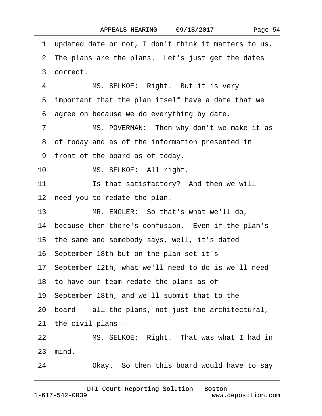Page 54

<span id="page-53-0"></span>·1· updated date or not, I don't think it matters to us. 2 The plans are the plans. Let's just get the dates ·3· correct. 4 MS. SELKOE: Right. But it is very 5 important that the plan itself have a date that we ·6· agree on because we do everything by date. 7 MS. POVERMAN: Then why don't we make it as 8 of today and as of the information presented in ·9· front of the board as of today. 10 MS. SELKOE: All right. 11 **In alsatisfactory?** And then we will 12 need you to redate the plan. 13 MR. ENGLER: So that's what we'll do, 14 because then there's confusion. Even if the plan's 15· the same and somebody says, well, it's dated 16· September 18th but on the plan set it's 17· September 12th, what we'll need to do is we'll need 18 to have our team redate the plans as of 19· September 18th, and we'll submit that to the 20· board -- all the plans, not just the architectural, 21· the civil plans -- 22 MS. SELKOE: Right. That was what I had in 23· mind. 24 Okay. So then this board would have to say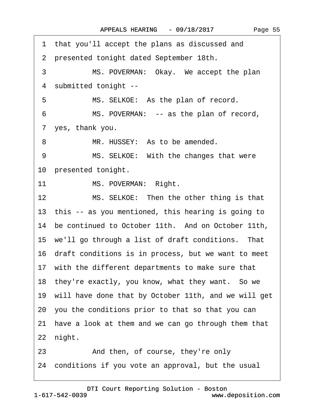<span id="page-54-0"></span>

|    | 1 that you'll accept the plans as discussed and         |
|----|---------------------------------------------------------|
|    | 2 presented tonight dated September 18th.               |
| 3  | MS. POVERMAN: Okay. We accept the plan                  |
| 4  | submitted tonight --                                    |
| 5  | MS. SELKOE: As the plan of record.                      |
| 6  | MS. POVERMAN: -- as the plan of record,                 |
|    | 7 yes, thank you.                                       |
| 8  | MR. HUSSEY: As to be amended.                           |
| 9  | MS. SELKOE: With the changes that were                  |
|    | 10 presented tonight.                                   |
|    | MS. POVERMAN: Right.<br>11                              |
| 12 | MS. SELKOE: Then the other thing is that                |
|    | 13 this -- as you mentioned, this hearing is going to   |
|    | 14 be continued to October 11th. And on October 11th,   |
|    | 15 we'll go through a list of draft conditions. That    |
|    | 16 draft conditions is in process, but we want to meet  |
|    | 17 with the different departments to make sure that     |
|    | 18 they're exactly, you know, what they want. So we     |
|    | 19 will have done that by October 11th, and we will get |
|    | 20 you the conditions prior to that so that you can     |
| 21 | have a look at them and we can go through them that     |
|    | 22 night.                                               |
| 23 | And then, of course, they're only                       |
|    | 24 conditions if you vote an approval, but the usual    |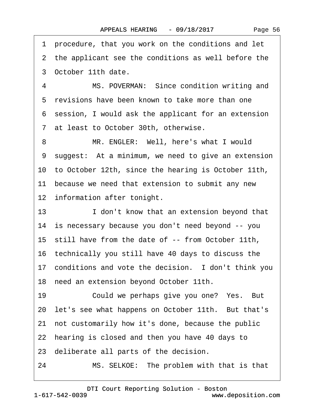<span id="page-55-0"></span>·1· procedure, that you work on the conditions and let 2 the applicant see the conditions as well before the

·3· October 11th date.

4 MS. POVERMAN: Since condition writing and 5 revisions have been known to take more than one ·6· session, I would ask the applicant for an extension ·7· at least to October 30th, otherwise.

8 MR. ENGLER: Well, here's what I would 9 suggest: At a minimum, we need to give an extension 10· to October 12th, since the hearing is October 11th, 11 because we need that extension to submit any new 12 information after tonight.

13 **I** don't know that an extension beyond that 14· is necessary because you don't need beyond -- you 15 still have from the date of -- from October 11th, 16· technically you still have 40 days to discuss the 17 conditions and vote the decision. I don't think you 18 need an extension beyond October 11th. 19 Could we perhaps give you one? Yes. But 20 let's see what happens on October 11th. But that's 21· not customarily how it's done, because the public

22 hearing is closed and then you have 40 days to

23· deliberate all parts of the decision.

24 MS. SELKOE: The problem with that is that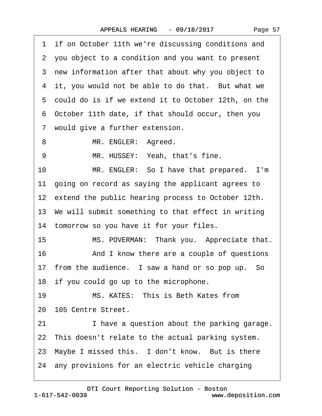|  | Page 57 |  |
|--|---------|--|
|--|---------|--|

<span id="page-56-0"></span>1 if on October 11th we're discussing conditions and ·2· you object to a condition and you want to present 3 new information after that about why you object to 4 it, you would not be able to do that. But what we 5 could do is if we extend it to October 12th, on the ·6· October 11th date, if that should occur, then you 7 would give a further extension. 8 MR. ENGLER: Agreed. 9 MR. HUSSEY: Yeah, that's fine. 10 MR. ENGLER: So I have that prepared. I'm 11 going on record as saying the applicant agrees to 12 extend the public hearing process to October 12th. 13 We will submit something to that effect in writing 14 tomorrow so you have it for your files. 15 MS. POVERMAN: Thank you. Appreciate that. 16 • And I know there are a couple of questions 17 from the audience. I saw a hand or so pop up. So 18 if you could go up to the microphone. 19 MS. KATES: This is Beth Kates from 20· 105 Centre Street. 21 **I** have a question about the parking garage. 22 This doesn't relate to the actual parking system. 23 Maybe I missed this. I don't know. But is there 24· any provisions for an electric vehicle charging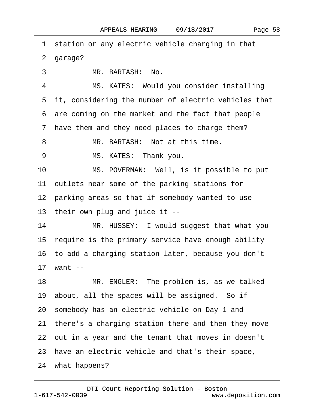<span id="page-57-0"></span>

|    | 1 station or any electric vehicle charging in that     |
|----|--------------------------------------------------------|
|    | 2 garage?                                              |
| 3  | MR. BARTASH: No.                                       |
| 4  | MS. KATES: Would you consider installing               |
|    | 5 it, considering the number of electric vehicles that |
|    | 6 are coming on the market and the fact that people    |
|    | 7 have them and they need places to charge them?       |
| 8  | MR. BARTASH: Not at this time.                         |
| 9  | MS. KATES: Thank you.                                  |
| 10 | MS. POVERMAN: Well, is it possible to put              |
|    | 11 outlets near some of the parking stations for       |
|    | 12 parking areas so that if somebody wanted to use     |
|    | 13 their own plug and juice it --                      |
| 14 | MR. HUSSEY: I would suggest that what you              |
|    | 15 require is the primary service have enough ability  |
|    | 16 to add a charging station later, because you don't  |
|    | 17 want --                                             |
|    | 18<br>MR. ENGLER: The problem is, as we talked         |
|    | 19 about, all the spaces will be assigned. So if       |
|    | 20 somebody has an electric vehicle on Day 1 and       |
|    | 21 there's a charging station there and then they move |
|    | 22 out in a year and the tenant that moves in doesn't  |
|    | 23 have an electric vehicle and that's their space,    |
|    | 24 what happens?                                       |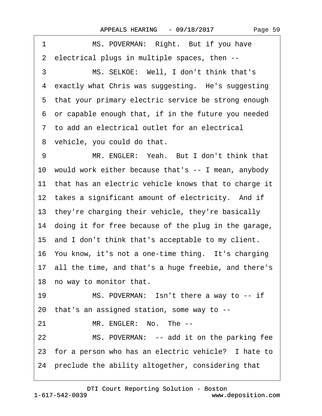<span id="page-58-0"></span>

| 1<br>MS. POVERMAN: Right. But if you have               |
|---------------------------------------------------------|
| 2 electrical plugs in multiple spaces, then --          |
| MS. SELKOE: Well, I don't think that's<br>3             |
| 4 exactly what Chris was suggesting. He's suggesting    |
| 5 that your primary electric service be strong enough   |
| 6 or capable enough that, if in the future you needed   |
| 7 to add an electrical outlet for an electrical         |
| 8 vehicle, you could do that.                           |
| MR. ENGLER: Yeah. But I don't think that<br>9           |
| 10 would work either because that's -- I mean, anybody  |
| 11 that has an electric vehicle knows that to charge it |
| 12 takes a significant amount of electricity. And if    |
| 13 they're charging their vehicle, they're basically    |
| 14 doing it for free because of the plug in the garage, |
| 15 and I don't think that's acceptable to my client.    |
| 16 You know, it's not a one-time thing. It's charging   |
| 17 all the time, and that's a huge freebie, and there's |
| 18 no way to monitor that.                              |
| 19<br>MS. POVERMAN: Isn't there a way to -- if          |
| 20 that's an assigned station, some way to --           |
| MR. ENGLER: No. The --<br>21                            |
| 22<br>MS. POVERMAN: -- add it on the parking fee        |
| 23 for a person who has an electric vehicle? I hate to  |
| 24 preclude the ability altogether, considering that    |
|                                                         |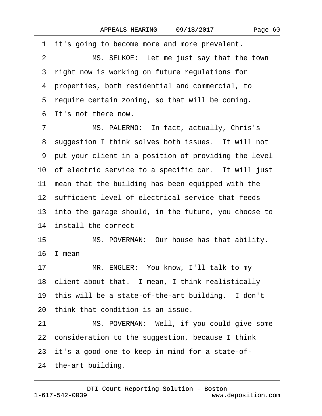<span id="page-59-0"></span>1 it's going to become more and more prevalent. 2 MS. SELKOE: Let me just say that the town 3 right now is working on future regulations for ·4· properties, both residential and commercial, to 5 require certain zoning, so that will be coming. ·6· It's not there now. 7 MS. PALERMO: In fact, actually, Chris's 8 suggestion I think solves both issues. It will not ·9· put your client in a position of providing the level 10 of electric service to a specific car. It will just 11 mean that the building has been equipped with the 12 sufficient level of electrical service that feeds 13 into the garage should, in the future, you choose to 14 install the correct --15 MS. POVERMAN: Our house has that ability. 16· I mean -- 17 MR. ENGLER: You know, I'll talk to my 18 client about that. I mean, I think realistically 19 this will be a state-of-the-art building. I don't 20· think that condition is an issue. 21 MS. POVERMAN: Well, if you could give some 22 consideration to the suggestion, because I think 23 it's a good one to keep in mind for a state-of-24 the-art building.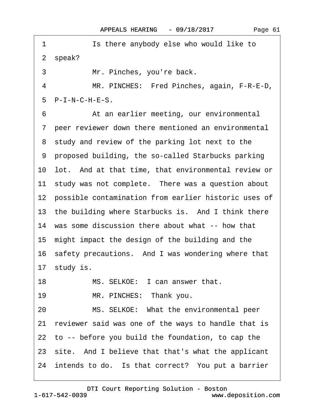<span id="page-60-0"></span>1 **Is there anybody else who would like to** 2 speak? 3 Mr. Pinches, you're back. 4 MR. PINCHES: Fred Pinches, again, F-R-E-D,  $5$  P-I-N-C-H-E-S. 6 **4. • At an earlier meeting, our environmental** ·7· peer reviewer down there mentioned an environmental 8 study and review of the parking lot next to the ·9· proposed building, the so-called Starbucks parking 10 lot. And at that time, that environmental review or 11 study was not complete. There was a question about 12 possible contamination from earlier historic uses of 13 the building where Starbucks is. And I think there 14 was some discussion there about what -- how that 15· might impact the design of the building and the 16 safety precautions. And I was wondering where that 17 study is. 18 MS. SELKOE: I can answer that. 19 MR. PINCHES: Thank you. 20 MS. SELKOE: What the environmental peer 21 reviewer said was one of the ways to handle that is 22· to -- before you build the foundation, to cap the 23 site. And I believe that that's what the applicant 24 intends to do. Is that correct? You put a barrier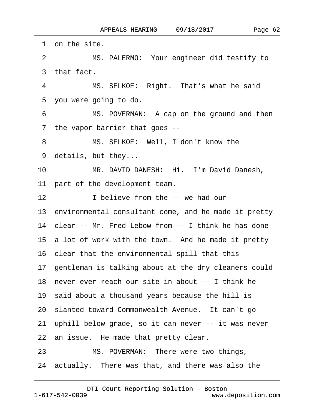<span id="page-61-0"></span>

|                | 1 on the site.                                          |
|----------------|---------------------------------------------------------|
| $\overline{2}$ | MS. PALERMO: Your engineer did testify to               |
|                | 3 that fact.                                            |
| 4              | MS. SELKOE: Right. That's what he said                  |
|                | 5 you were going to do.                                 |
| 6              | MS. POVERMAN: A cap on the ground and then              |
|                | 7 the vapor barrier that goes --                        |
| 8              | MS. SELKOE: Well, I don't know the                      |
|                | 9 details, but they                                     |
| 10             | MR. DAVID DANESH: Hi. I'm David Danesh,                 |
|                | 11 part of the development team.                        |
| 12             | I believe from the -- we had our                        |
|                | 13 environmental consultant come, and he made it pretty |
|                | 14 clear -- Mr. Fred Lebow from -- I think he has done  |
|                | 15 a lot of work with the town. And he made it pretty   |
|                | 16 clear that the environmental spill that this         |
|                | 17 gentleman is talking about at the dry cleaners could |
|                | 18 never ever reach our site in about -- I think he     |
|                | 19 said about a thousand years because the hill is      |
|                | 20 slanted toward Commonwealth Avenue. It can't go      |
|                | 21 uphill below grade, so it can never -- it was never  |
|                | 22 an issue. He made that pretty clear.                 |
| 23             | MS. POVERMAN: There were two things,                    |
|                | 24 actually. There was that, and there was also the     |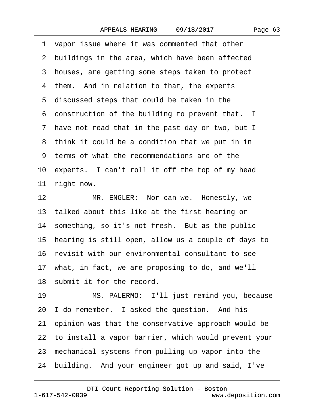<span id="page-62-0"></span>

|         | 1 vapor issue where it was commented that other         |
|---------|---------------------------------------------------------|
|         | 2 buildings in the area, which have been affected       |
|         | 3 houses, are getting some steps taken to protect       |
|         | 4 them. And in relation to that, the experts            |
|         | 5 discussed steps that could be taken in the            |
|         | 6 construction of the building to prevent that. I       |
|         | 7 have not read that in the past day or two, but I      |
|         | 8 think it could be a condition that we put in in       |
|         | 9 terms of what the recommendations are of the          |
|         | 10 experts. I can't roll it off the top of my head      |
|         | 11 right now.                                           |
| $12 \,$ | MR. ENGLER: Nor can we. Honestly, we                    |
|         | 13 talked about this like at the first hearing or       |
|         | 14 something, so it's not fresh. But as the public      |
|         | 15 hearing is still open, allow us a couple of days to  |
|         | 16 revisit with our environmental consultant to see     |
|         | 17 what, in fact, we are proposing to do, and we'll     |
|         | 18 submit it for the record.                            |
| 19      | MS. PALERMO: I'll just remind you, because              |
|         | 20 I do remember. I asked the question. And his         |
|         | 21 opinion was that the conservative approach would be  |
|         | 22 to install a vapor barrier, which would prevent your |
|         |                                                         |

- 23 mechanical systems from pulling up vapor into the
- 24 building. And your engineer got up and said, I've

www.deposition.com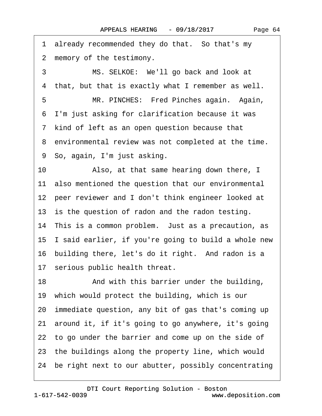<span id="page-63-0"></span>1 already recommended they do that. So that's my 2 memory of the testimony. 3 MS. SELKOE: We'll go back and look at 4 that, but that is exactly what I remember as well. 5 MR. PINCHES: Fred Pinches again. Again, ·6· I'm just asking for clarification because it was 7 kind of left as an open question because that 8 environmental review was not completed at the time. ·9· So, again, I'm just asking. 10 • Also, at that same hearing down there, I 11 also mentioned the question that our environmental 12 peer reviewer and I don't think engineer looked at 13 is the question of radon and the radon testing. 14 This is a common problem. Just as a precaution, as 15· I said earlier, if you're going to build a whole new 16 building there, let's do it right. And radon is a 17 serious public health threat. 18 • And with this barrier under the building, 19 which would protect the building, which is our 20· immediate question, any bit of gas that's coming up 21· around it, if it's going to go anywhere, it's going 22 to go under the barrier and come up on the side of 23 the buildings along the property line, which would 24 be right next to our abutter, possibly concentrating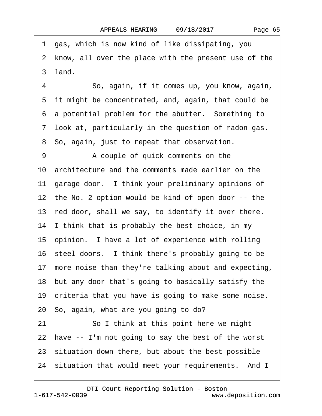Page 65

<span id="page-64-0"></span>·1· gas, which is now kind of like dissipating, you 2 know, all over the place with the present use of the 3 land.

4 · · · So, again, if it comes up, you know, again, 5 it might be concentrated, and, again, that could be 6 a potential problem for the abutter. Something to ·7· look at, particularly in the question of radon gas. 8 So, again, just to repeat that observation.

9 A couple of quick comments on the 10· architecture and the comments made earlier on the 11 garage door. I think your preliminary opinions of 12 the No. 2 option would be kind of open door -- the 13 red door, shall we say, to identify it over there. 14 I think that is probably the best choice, in my 15· opinion.· I have a lot of experience with rolling 16· steel doors.· I think there's probably going to be 17 more noise than they're talking about and expecting, 18· but any door that's going to basically satisfy the 19 criteria that you have is going to make some noise. 20· So, again, what are you going to do? 21 So I think at this point here we might 22 have -- I'm not going to say the best of the worst 23 situation down there, but about the best possible 24 situation that would meet your requirements. And I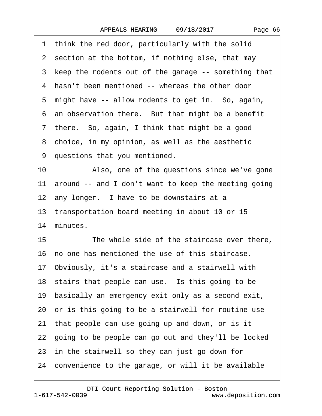|  | Page 66 |  |
|--|---------|--|
|--|---------|--|

<span id="page-65-0"></span>

|    | 1 think the red door, particularly with the solid       |
|----|---------------------------------------------------------|
|    | 2 section at the bottom, if nothing else, that may      |
|    | 3 keep the rodents out of the garage -- something that  |
|    | 4 hasn't been mentioned -- whereas the other door       |
|    | 5 might have -- allow rodents to get in. So, again,     |
|    | 6 an observation there. But that might be a benefit     |
|    | 7 there. So, again, I think that might be a good        |
|    | 8 choice, in my opinion, as well as the aesthetic       |
|    | 9 questions that you mentioned.                         |
| 10 | Also, one of the questions since we've gone             |
|    | 11 around -- and I don't want to keep the meeting going |
|    | 12 any longer. I have to be downstairs at a             |
|    | 13 transportation board meeting in about 10 or 15       |
|    | 14 minutes.                                             |
| 15 | The whole side of the staircase over there,             |
|    | 16 no one has mentioned the use of this staircase.      |
|    | 17 Obviously, it's a staircase and a stairwell with     |
|    | 18 stairs that people can use. Is this going to be      |
|    | 19 basically an emergency exit only as a second exit,   |
|    | 20 or is this going to be a stairwell for routine use   |
|    | 21 that people can use going up and down, or is it      |
|    | 22 going to be people can go out and they'll be locked  |
|    | 23 in the stairwell so they can just go down for        |
|    | 24 convenience to the garage, or will it be available   |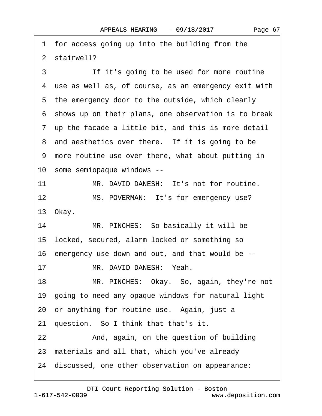Page 67

<span id="page-66-0"></span>1 for access going up into the building from the 2 stairwell? 3 **If it's going to be used for more routine** 4 use as well as, of course, as an emergency exit with 5 the emergency door to the outside, which clearly ·6· shows up on their plans, one observation is to break ·7· up the facade a little bit, and this is more detail 8 and aesthetics over there. If it is going to be ·9· more routine use over there, what about putting in 10· some semiopaque windows -- 11 MR. DAVID DANESH: It's not for routine. 12 MS. POVERMAN: It's for emergency use? 13 Okay. 14 MR. PINCHES: So basically it will be 15· locked, secured, alarm locked or something so 16· emergency use down and out, and that would be -- 17 MR. DAVID DANESH: Yeah. 18 MR. PINCHES: Okay. So, again, they're not 19· going to need any opaque windows for natural light 20 or anything for routine use. Again, just a 21 question. So I think that that's it. 22 And, again, on the question of building 23 materials and all that, which you've already 24 discussed, one other observation on appearance: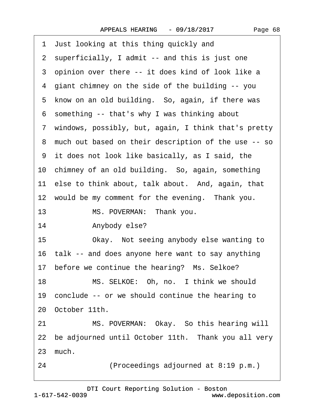<span id="page-67-0"></span>

| 1 Just looking at this thing quickly and               |
|--------------------------------------------------------|
| 2 superficially, I admit -- and this is just one       |
| 3 opinion over there -- it does kind of look like a    |
| 4 giant chimney on the side of the building -- you     |
| 5 know on an old building. So, again, if there was     |
| 6 something -- that's why I was thinking about         |
| 7 windows, possibly, but, again, I think that's pretty |
| 8 much out based on their description of the use -- so |
| 9 it does not look like basically, as I said, the      |
| 10 chimney of an old building. So, again, something    |
| 11 else to think about, talk about. And, again, that   |
| 12 would be my comment for the evening. Thank you.     |
| 13<br>MS. POVERMAN: Thank you.                         |
| Anybody else?<br>14                                    |
| Okay. Not seeing anybody else wanting to<br>15         |
| 16 talk -- and does anyone here want to say anything   |
| 17 before we continue the hearing? Ms. Selkoe?         |
| MS. SELKOE: Oh, no. I think we should<br>18            |
| 19 conclude -- or we should continue the hearing to    |
| 20 October 11th.                                       |
| MS. POVERMAN: Okay. So this hearing will<br>21         |
| 22 be adjourned until October 11th. Thank you all very |
| 23 much.                                               |
| (Proceedings adjourned at 8:19 p.m.)<br>24             |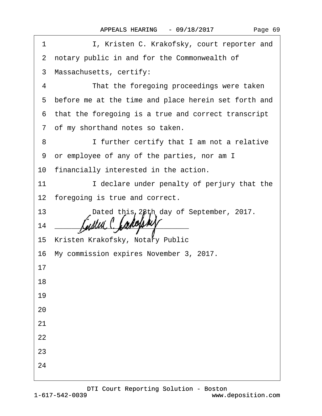|  | Page 69 |  |
|--|---------|--|
|--|---------|--|

| 1               | I, Kristen C. Krakofsky, court reporter and            |
|-----------------|--------------------------------------------------------|
|                 | 2 notary public in and for the Commonwealth of         |
|                 | 3 Massachusetts, certify:                              |
| 4               | That the foregoing proceedings were taken              |
|                 | 5 before me at the time and place herein set forth and |
|                 | 6 that the foregoing is a true and correct transcript  |
|                 | 7 of my shorthand notes so taken.                      |
| 8               | I further certify that I am not a relative             |
|                 | 9 or employee of any of the parties, nor am I          |
|                 | 10 financially interested in the action.               |
| 11              | I declare under penalty of perjury that the            |
|                 | 12 foregoing is true and correct.                      |
| 13 <sup>°</sup> | Dated this 28th day of September, 2017.                |
| 14              |                                                        |
|                 | 15 Kristen Krakofsky, Notary Public                    |
|                 | 16 My commission expires November 3, 2017.             |
| 17              |                                                        |
| 18              |                                                        |
| 19              |                                                        |
| 20              |                                                        |
| 21              |                                                        |
| 22              |                                                        |
| 23              |                                                        |
| 24              |                                                        |
|                 |                                                        |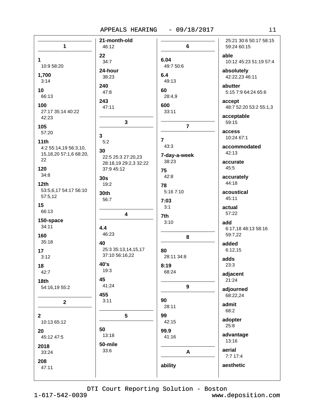## APPEALS HEARING - 09/18/2017

| $\mathbf{1}$                      | 21-month-old<br>46:12               | $\bf 6$           | 25:21 30:6 50:17 58:15<br>59:24 60:15 |
|-----------------------------------|-------------------------------------|-------------------|---------------------------------------|
|                                   | 22                                  |                   | able                                  |
| 1<br>10:9 58:20                   | 34:7                                | 6.04<br>49:7 50:6 | 10:12 45:23 51:19 57:4                |
|                                   | 24-hour                             |                   | absolutely                            |
| 1,700<br>3:14                     | 38:23                               | 6.4<br>49:13      | 42:22,23 46:11                        |
| 10                                | 240                                 | 60                | abutter                               |
| 66:13                             | 47:8                                | 28:4,9            | 5:15 7:9 64:24 65:6                   |
| 100                               | 243<br>47:11                        | 600               | accept<br>48:7 52:20 53:2 55:1,3      |
| 27:17 35:14 40:22<br>42:23        |                                     | 33:11             | acceptable                            |
| 105                               | 3                                   | $\overline{7}$    | 59:15                                 |
| 57:20                             |                                     |                   | access                                |
| 11th                              | $\mathbf{3}$<br>5:2                 | 7                 | 10:24 67:1                            |
| 4:2 55:14,19 56:3,10,             | 30                                  | 43:3              | accommodated                          |
| 15, 18, 20 57: 1, 6 68: 20,<br>22 | 22:5 25:3 27:20,23                  | 7-day-a-week      | 42:13                                 |
| 120                               | 28:18,19 29:2,3 32:22<br>37:9 45:12 | 38:23             | accurate<br>45:5                      |
| 34:8                              |                                     | 75<br>42:8        | accurately                            |
| 12 <sub>th</sub>                  | 30s<br>19:2                         | 78                | 44:18                                 |
| 53:5,6,17 54:17 56:10             | 30th                                | 5:16 7:10         | acoustical                            |
| 57:5,12                           | 56:7                                | 7:03              | 45:11                                 |
| 15<br>66:13                       |                                     | 3:1               | actual                                |
|                                   | 4                                   | 7th               | 57:22                                 |
| 150-space<br>34:11                | 4.4                                 | 3:10              | add<br>6:17,18 48:13 58:16            |
| 160                               | 46:23                               | 8                 | 59:7,22                               |
| 35:18                             | 40                                  |                   | added                                 |
| 17                                | 25:3 35:13,14,15,17                 | 80                | 6:12,15                               |
| 3:12                              | 37:10 56:16,22                      | 28:11 34:8        | adds                                  |
| 18                                | 40's<br>19:3                        | 8:19<br>68:24     | 23:3                                  |
| 42:7<br>18th                      | 45                                  |                   | adjacent<br>21:24                     |
| 54:16,19 55:2                     | 41:24                               | $\boldsymbol{9}$  | adjourned                             |
|                                   | 455                                 |                   | 68:22,24                              |
| $\mathbf 2$                       | 3:11                                | 90<br>28:11       | admit                                 |
| $\mathbf{2}$                      | 5                                   | 99                | 68:2                                  |
| 10:13 65:12                       |                                     | 42:15             | adopter                               |
| 20                                | 50                                  | 99.9              | 25:8                                  |
| 45:12 47:5                        | 13:18                               | 41:16             | advantage<br>13:16                    |
| 2018                              | 50-mile                             |                   | aerial                                |
| 33:24                             | 33:6                                | A                 | 7:7 17:4                              |
| 208<br>47:11                      |                                     | ability           | aesthetic                             |
|                                   |                                     |                   |                                       |
|                                   |                                     |                   |                                       |

DTI Court Reporting Solution - Boston

 $1 - 617 - 542 - 0039$ 

www.deposition.com

 $i1$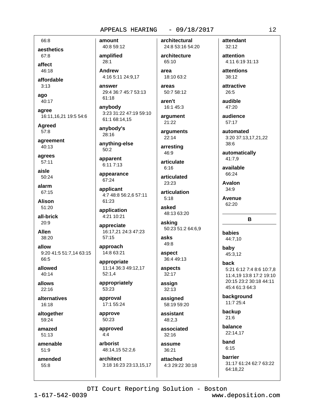## $-09/18/2017$ APPEALS HEARING

66:8 aesthetics 67:8

affect  $46.18$ 

affordable  $3:13$ 

ago 40:17

agree 16:11,16,21 19:5 54:6

**Agreed**  $57:8$ 

agreement 40:13

agrees 57:11

aisle 50:24

alarm 67:15

**Alison** 51:20

all-brick 20:9

**Allen** 38:20

allow 9:20 41:5 51:7,14 63:15 66:5

allowed  $40.14$ 

allows  $22:16$ 

alternatives 16:18

altogether 59:24

amazed  $51:13$ 

amenable  $51:9$ 

amended 55:8

40:8 59:12 amplified  $28:1$ 

amount

**Andrew** 4:16 5:11 24:9,17

answer 29:4 36:7 45:7 53:13  $61:18$ 

anybody 3:23 31:22 47:19 59:10 61:1 68:14,15

anybody's 28:16

anything-else 50:2

apparent 6:11 7:13

appearance 67:24

applicant 4:7 48:8 56:2,6 57:11 61:23

application 4:21 10:21

appreciate 16:17,21 24:3 47:23  $57:15$ 

approach 14:8 63:21

appropriate 11:14 36:3 49:12,17  $52:1,4$ 

appropriately 53:23

approval 17:1 55:24

approve  $50.23$ 

approved  $4:4$ 

arborist 48:14,15 52:2,6 architect

3:18 16:23 23:13,15,17

architectural 24:8 53:16 54:20

architecture 65:10 area

18:10 63:2

areas  $50:758:12$ 

aren't 16:1 45:3 argument

21:22 arguments

22:14 arresting

46:9 articulate

 $6:16$ 

articulated 23:23

articulation  $5:18$ 

asked 48:13 63:20

asking 50:23 51:2 64:6,9

asks 49:8

aspect 36:4 49:13

aspects 32:17

assign  $32:13$ 

assigned 58:19 59:20

assistant 48:2.3

associated  $32:16$ 

assume 36:21

attached 4:3 29:22 30:18 attendant  $32:12$ 

attention 4:11 6:19 31:13

attentions 38:12

attractive 26:5

audible 47:20

audience  $57:17$ 

automated 3:20 37:13,17,21,22 38:6

automatically 41:7,9

available 66:24

**Avalon**  $34:9$ 

**Avenue**  $62:20$ 

babies

baby

back

44:7.10

45:3,12

11:4,19 13:8 17:2 19:10 20:15 23:2 30:18 44:11 45:4 61:3 64:3

5:21 6:12 7:4 8:6 10:7.8

B

background 11:7 25:4

backup  $21:6$ 

balance 22:14,17

band  $6:15$ 

barrier 31:17 61:24 62:7 63:22 64:18,22

DTI Court Reporting Solution - Boston

www.deposition.com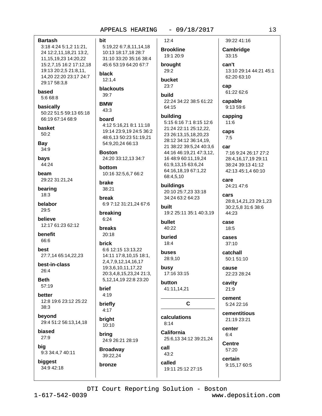### $-09/18/2017$ APPEALS HEARING

# **Bartash** 3:18 4:24 5:1,2 11:21, 24 12:2,11,18,21 13:2, 11, 15, 19, 23 14: 20, 22 15:2,7,15 16:2 17:12,18 19:13 20:2,5 21:8,11,

bit

14.20 22:20 23:17 24:7 29:17 58:3,8 based

5:6 68:8

basically 50:22 51:5 59:13 65:18 66:19 67:14 68:9

basket  $50:2$ 

Bay 34:9

bays 44:24

beam 29:22 31:21,24

bearing  $18:3$ 

belabor 29:5

believe 12:17 61:23 62:12

benefit 66:6

best 27:7,14 65:14,22,23

best-in-class  $26:4$ 

**Beth**  $57:19$ 

hetter 12:8 19:6 23:12 25:22  $38:3$ 

bevond 29:4 51:2 56:13,14,18

biased  $27:9$ 

big 9:3 34:4,7 40:11

biaaest 34:9 42:18

 $12:4$ 5:19,22 6:7,8,11,14,18 10:13 18:17,18 28:7 31:10 33:20 35:16 38:4 45:6 53:19 64:20 67:7  $29:2$ black  $12:1,4$ bucket  $23:7$ blackouts  $39.7$ **build BMW** 64:15 43:3 board 4:12 5:16.21 8:1 11:18 19:14 23:9,19 24:5 36:2 48:6.13 50:23 51:19.21 54:9,20,24 66:13 **Boston** 24:20 33:12,13 34:7 bottom 10:16 32:5,6,7 66:2 brake 38:21 break 6:9 7:12 31:21,24 67:6 built breaking  $6:24$ bullet 40:22 **breaks**  $20:18$ buried  $18:4$ brick 6:6 12:15 13:13.22 buses 14:11 17:8,10,15 18:1, 2,4,7,9,12,14,16,17 19:3,6,10,11,17,22 busy 20:3,4,8,15,23,24 21:3, 5,12,14,19 22:8 23:20 button brief  $4:19$ briefly  $4:17$ bright  $8:14$ 10:10 brina 24:9 26:21 28:19 call **Broadway** 39:22,24

**Brookline** 19:1 20:9 brought 22:24 34:22 38:5 61:22 building 5:15 6:16 7:1 8:15 12:6 21:24 22:11 25:12.22. 23 26:13,15,18,20,23 28:12 34:12 36:14.19. 21 38:22 39:5,24 40:3,6 44:16 46:19,21 47:3,12, 16 48:9 60:11,19,24 61:9,13,15 63:6,24 64:16,18,19 67:1,22 68:4,5,10 buildings 20:10 25:7.23 33:18 34:24 63:2 64:23 19:2 25:11 35:1 40:3,19 28:9.10 17:16 33:15 41:11,14,21 C calculations **California** 25:6,13 34:12 39:21,24 **Centre**  $43:2$ certain called 19:11 25:12 27:15

39:22 41:16 Cambridge 33:15 can't 13:10 29:14 44:21 45:1 62:20 63:10 cap 61:22 62:6 capable 9:13 59:6 capping  $11:6$ caps  $7:5$ car 7:16 9:24 26:17 27:2 28:4,16,17,19 29:11 38:24 39:13 41:12 42:13 45:1,4 60:10 care 24:21 47:6 cars 28:8.14.21.23 29:1.23 30:2,5,8 31:6 38:6 44:23 case 18:5 cases  $37:10$ catchall 50:1 51:10 cause 22:23 28:24 cavity  $21:9$ cement 5:24 22:16 cementitious  $21.1923.21$ center

DTI Court Reporting Solution - Boston

bronze

www.deposition.com

 $6:4$ 

57:20

9:15,17 60:5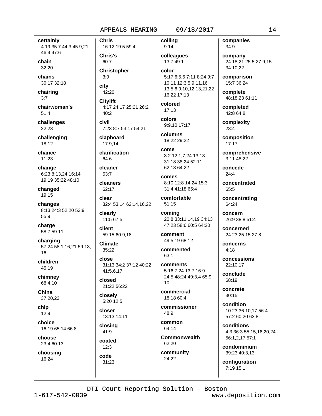certainly 4:19 35:7 44:3 45:9,21 46:4 47:6

chain  $32:20$ 

chains 30:17 32:18

chairing

 $3:7$ 

chairwoman's  $51.4$ 

challenges 22:23

challenging 18:12

chance  $11:23$ 

change 6:23 8:13,24 16:14 19:19 35:22 48:10

changed 19:15

changes 8:13 24:3 52:20 53:9 55:9

charge 58:7 59:11

charging 57:24 58:1,16,21 59:13,  $16$ 

children 45:19

chimney 68:4.10

China 37:20,23

chip  $12:9$ 

choice 16:19 65:14 66:8

choose 23:4 60:13

choosing 16:24

**Chris** 16:12 19:5 59:4 Chris's 60:7 **Christopher**  $3:9$ city 42:20 **Citylift** 4:17 24:17 25:21 26:2  $40:2$ civil 7:23 8:7 53:17 54:21 clapboard 17:9,14 clarification  $64.6$ cleaner  $53:7$ 

cleaners 62:17

clear 32:4 53:14 62:14,16,22

clearly 11:5 67:5

client 59:15 60:9,18

**Climate**  $35:22$ 

close 31:13 34:2 37:12 40:22 41:5,6,17

closed 21:22 56:22

closely 5:20 12:5

closer 13:13 14:11

closing 41:9

coated  $12:3$ code  $31:23$ 

coilina  $9:14$ 

colleagues 13:7 49:1 color

5:17 6:5,6 7:11 8:24 9:7 10:11 12:3,5,9,11,16 13:5,6,9,10,12,13,21,22 16:22 17:13

colored  $17:13$ 

colors 9:9.10 17:17 columns

18:22 29:22

come 3:2 12:1.7.24 13:13 31:18 38:24 52:11 62:13 64:22

comes 8:10 12:8 14:24 15:3 31:4 41:18 65:4

comfortable  $51:15$ 

coming 20:8 33:11.14.19 34:13 47:23 58:6 60:5 64:20

comment 49:5,19 68:12

commented  $63:1$ 

comments 5:16 7:24 13:7 16:9 24:5 48:24 49:3,4 65:9,  $10$ 

commercial 18:18 60:4

commissioner  $48.9$ 

common 64:14

**Commonwealth** 62:20

community 24:22

companies 34:9

company 24:18,21 25:5 27:9,15 34:10.22

comparison 15:7 36:24

complete 48:18,23 61:11

completed 42:8 64:8

complexity  $23:4$ 

composition 17:17

comprehensive  $3:11$  48:22

concede  $24:4$ 

concentrated 65:5

concentrating 64:24

concern 26:9 38:8 51:4

concerned 24:23 25:15 27:8

concerns  $4:18$ 

concessions 22:10.17

conclude 68:19

concrete  $30:15$ 

condition 10:23 36:10.17 56:4 57:2 60:20 63:8

conditions 4:3 36:3 55:15,16,20,24 56:1,2,17 57:1

condominium 39:23 40:3,13

configuration 7:19 15:1

 $1 - 617 - 542 - 0039$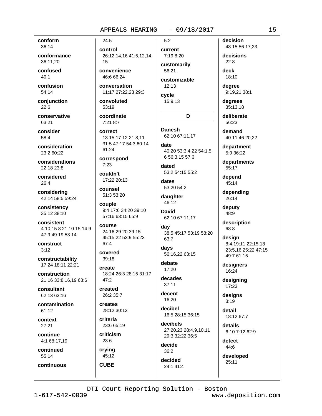$5:2$ 

conform 36:14

conformance 36:11.20

confused  $40:1$ 

confusion  $54:14$ 

conjunction  $22.6$ 

conservative 63:21

consider 58:4

consideration 23:2 60:22

considerations 22:18 23:8

considered  $26:4$ 

considering 42:14 58:5 59:24

consistency 35:12 38:10

consistent 4:10,15 8:21 10:15 14:9 47:9 49:19 53:14

construct  $3:12$ 

constructability 17:24 18:11 22:21

construction 21:16 33:8,16,19 63:6

consultant 62:13 63:16

contamination 61:12

context  $27:21$ 

continue 4:1 68:17,19

continued 55:14

continuous

control 26:12,14,16 41:5,12,14, 15

convenience 46:6 66:24

 $24:5$ 

conversation 11:17 27:22.23 29:3

convoluted  $53.19$ 

coordinate 7:21 8:7

correct 13:15 17:12 21:8,11 31:5 47:17 54:3 60:14 61:24

correspond  $7:23$ 

couldn't 17:22 20:13

counsel 51:3 53:20

couple 9:4 17:6 34:20 39:10 57:16 63:15 65:9

course 24:16 29:20 39:15 45:15,22 53:9 55:23 67:4

covered  $39:18$ 

create 18:24 26:3 28:15 31:17  $47:2$ 

created 26:2 35:7

creates 28:12 30:13

criteria 23:6 65:19

criticism 23:6

crying 45:12

**CUBE** 

current 7:19 8:20

customarily 56:21 customizable

 $12:13$ 

cycle 15:9,13

### D

**Danesh** 62:10 67:11,17

date 40:20 53:3.4.22 54:1.5. 6 56:3,15 57:6

dated 53:2 54:15 55:2

dates 53:20 54:2

daughter 46:12

**David** 62:10 67:11.17

day 38:5 45:17 53:19 58:20 63:7

days 56:16.22 63:15

debate 17:20

decades  $37:11$ 

decent 16:20

decibel 16:5 28:15 36:15 decibels

> 27:20,23 28:4,9,10,11 29:3 32:22 36:5 decide

 $36:2$ decided

24:1 41:4

decision 48:15 56:17,23

decisions

 $22:8$ deck

18:10

dearee 9:19,21 38:1

degrees 35:13,18

deliberate 56:23

demand 40:11 46:20,22

department

5:9 36:22

departments 55:17

depend 45:14

depending 26:14

deputy 48:9

description 68:8

design 8:4 19:11 22:15,18 23:5,16 25:22 47:15 49:7 61:15

designers 16:24

designing 17:23

designs  $3:19$ 

detail 18:12 67:7

details 6:10 7:12 62:9

> detect 44:6

developed  $25:11$ 

DTI Court Reporting Solution - Boston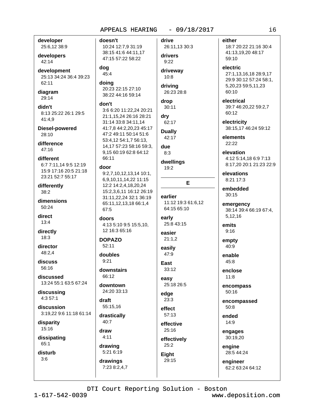developer 25:6,12 38:9

developers 42:14

development 25:13 34:24 36:4 39:23 62:11

diagram 29:14

didn't 8:13 25:22 26:1 29:5 41:4,9

Diesel-powered 28:10

difference  $47:16$ 

different 6:7 7:11,14 9:5 12:19 15:9 17:16 20:5 21:18 23:21 52:7 55:17

differently  $38:2$ 

dimensions  $50.24$ 

direct  $13:4$ 

directly  $18:3$ 

director  $48:2.4$ 

discuss 56:16

discussed 13:24 55:1 63:5 67:24

discussing  $4:357:1$ 

discussion 3:19.22 9:6 11:18 61:14

disparity 15:16

dissipating 65:1

disturb  $3:6$ 

doesn't 10:24 12:7,9 31:19 38:15 41:6 44:11,17 47:15 57:22 58:22 dog 45:4

doing 20:23 22:15 27:10 38:22 44:16 59:14

### don't

3:6 6:20 11:22.24 20:21 21:1,15,24 26:16 28:21 31:14 33:8 34:11,14 41:7,8 44:2,20,23 45:17 47:2 49:11 50:14 51:6 53:4.12 54:1.7 56:13. 14,17 57:23 58:16 59:3, 9,15 60:19 62:8 64:12 66:11

### door

 $9:2,7,10,12,13,14$  10:1, 6,9,10,11,14,22 11:15 12:2 14:2,4,18,20,24 15:2,3,6,11 16:12 26:19 31:11,22,24 32:1 36:19 65:11,12,13,18 66:1,4 67:5

doors

4:13 5:10 9:5 15:5,10, 12 16:3 65:16

### **DOPAZO**  $52:11$

doubles

 $9:21$ 

downstairs  $66.12$ 

downtown 24:20 33:13

draft

55:15,16 drastically 40:7

draw

 $4:11$ drawing

5:21 6:19 drawings 7:23 8:2,4,7

### drive 26:11,13 30:3

### drivers  $9:22$

driveway  $10:8$ 

driving 26:23 28:8

### drop

 $30:11$ drv

62:17 **Dually** 

## 42:17

due  $8:3$ 

### dwellings

19:2

### E

earlier 11:12 19:3 61:6,12 64:15 65:10 early 25:8 43:15

### easier  $21:1,2$

easily 47:9

East  $33:12$ 

easv 25:18 26:5

### edge  $23:3$

effect

57:13 effective 25:16

effectively

25:2 Eight

# 29:15

either

18:7 20:22 21:16 30:4 41:13,19,20 48:17 59:10

electric

27:1,13,16,18 28:9,17 29:9 30:12 57:24 58:1, 5,20,23 59:5,11,23 60:10

electrical 39:7 46:20.22 59:2.7 60:12

electricity 38:15.17 46:24 59:12

elements  $22.22$ 

### elevation 4:12 5:14,18 6:9 7:13 8:17,20 20:1 21:23 22:9

elevations 8:21 17:3

embedded  $30:15$ 

### emergency 38:14 39:4 66:19 67:4, 5,12,16

emits  $9:16$ 

empty 40:9

enable  $45.8$ 

enclose  $11:8$ 

encompass  $50:16$ 

encompassed  $50:8$ 

ended 14:9

engages 30:19,20

engine

28:5 44:24

engineer 62:2 63:24 64:12

DTI Court Reporting Solution - Boston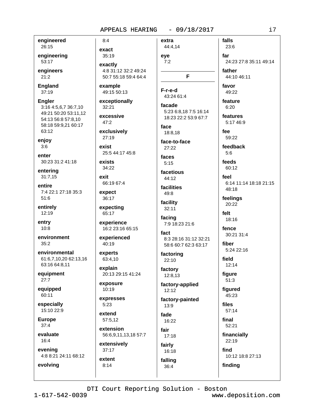engineered 26:15

engineering 53:17

engineers  $21:2$ 

**England**  $37:19$ 

**Engler** 3:16 4:5,6,7 36:7,10 49:21 50:20 53:11,12 54:13 56:8 57:8.10 58:18 59:9.21 60:17 63:12

enjoy  $3:6$ 

enter 30:23 31:2 41:18

entering  $31:7,15$ 

entire 7:4 22:1 27:18 35:3 51:6

entirely 12:19

entry  $10:8$ 

environment 35:2

environmental 61:6,7,10,20 62:13,16 63:16 64:8,11

equipment  $27:7$ 

equipped 60:11

especially 15:10 22:9

**Europe**  $37:4$ 

evaluate 16:4

evolving

evening 4:8 8:21 24:11 68:12

 $8:4$ extra exact 35:19 eye  $7:2$ exactly 4:8 31:12 32:2 49:24 50:7 55:18 59:4 64:4 example F-r-e-d 49:15 50:13 43:24 61:4 exceptionally 32:21 excessive  $47:2$ face exclusively 27:19 face-to-face exist 25:5 44:17 45:8 faces exists  $5:15$ 34:22 facetious exit 66:19 67:4 facilities expect  $49:8$ 36:17 expecting 32:11 65:17 experience 7:9 18:23 21:6 16:2 23:16 65:15 fact experienced  $40:19$ experts 63:4,10 22:10 explain 20:13 29:15 41:24 12:8,13 exposure 10:19 expresses  $5:23$  $13:9$ extend

57:5,12 extension

56:6,9,11,13,18 57:7 extensively  $37:17$ 

extent  $8:14$ 

44:4,14 F

facade 5:23 6:8,18 7:5 16:14 18:23 22:2 53:9 67:7

18:8,18

27:22

44:12

facility

facing

8:3 28:16 31:12 32:21

58:6 60:7 62:3 63:17 factoring

factory

factory-applied 12:12

factory-painted fade 16:22

fair  $17:18$ fairly 16:18 falling

36:4

far 24:23 27:8 35:11 49:14 father 44:10 46:11 favor 49:22 feature  $6:20$ features 5:17 46:9 fee 59:22 feedback  $5:6$ feeds 60:12 feel 6:14 11:14 18:18 21:15 48:18 feelings 20:22  $f \circ H$ 18:16 fence 30:21 31:4 fiber 5:24 22:16 field  $12:14$ figure  $51:3$ figured

falls

23:6

45:23 files  $57:14$ final  $52:21$ 

financially 22:19 find

10:12 18:8 27:13 finding

i7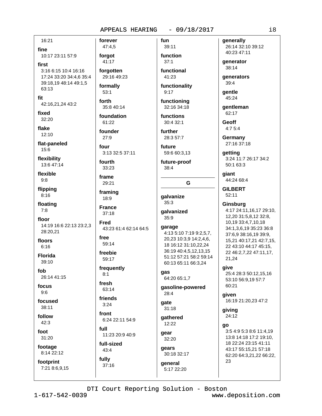fun

16:21

fine

10:17 23:11 57:9

first

3:16 6:15 10:4 16:16 17:24 33:20 34:4,6 35:4 39:18,19 48:14 49:1,5 63:13

fit

42:16,21,24 43:2

fixed 32:20

flake 12:10

flat-paneled

15:6

flexibility 13:6 47:14

flexible  $9:8$ 

flipping  $8:16$ 

floating  $7:8$ 

floor 14:19 16:6 22:13 23:2,3 28:20,21

floors  $6:16$ 

**Florida** 39:10

fob 26:14 41:15

focus  $9:6$ 

focused  $38:11$ 

follow  $42:3$ 

foot

31:20

footage

8:14 22:12

footprint 7:21 8:6,9,15

47:4,5 forgot 41:17

forever

forgotten 29:16 49:23

formally  $53:1$ 

forth

35:8 40:14 foundation 61:22

founder  $27:9$ 

four

3:13 32:5 37:11

fourth 33:23

frame 29:21

framing 18:9

**France**  $37:18$ 

**Fred** 

43:23 61:4 62:14 64:5

free 59:14

freebie 59:17

frequently  $8:1$ 

fresh 63:14

friends  $3:24$ 

front

6:24 22:11 54:9 full

11:23 20:9 40:9

full-sized 43:4

fully  $37:16$  function  $37:1$ functional

39:11

41:23

functionality  $9:17$ 

functioning 32:16 34:18

functions 30:4 32:1

further

28:3 57:7 future

59:6 60:3,13

future-proof  $38:4$ 

G

qalvanize  $35:3$ 

**galvanized**  $35:9$ 

- garage
- 4:13 5:10 7:19 9:2,5,7, 20,23 10:3,9 14:2,4,6, 18 16:12 31:10,22,24 36:19 40:4,5,12,13,15 51:12 57:21 58:2 59:14

60:13 65:11 66:3,24 qas

64:20 65:1,7

gasoline-powered 28:4

qate  $31:18$ 

**aathered** 12:22

gear 32:20 gears

30:18 32:17

general 5:17 22:20 generally 26:14 32:10 39:12 40:23 47:11

**generator**  $38:14$ 

generators

 $39:4$ gentle

45:24

gentleman 62:17

**Geoff**  $4:75:4$ 

Germany 27:16 37:18

qetting 3:24 11:7 26:17 34:2 50:1 63:3

giant 44:24 68:4

**GILBERT**  $52:11$ 

Ginsburg 4:17 24:11,16,17 29:10, 12,20 31:5,8,12 32:8, 10,19 33:4,7,10,18 34:1,3,6,19 35:23 36:8 37:6.9 38:16.19 39:9. 15,21 40:17,21 42:7,15, 22 43:10 44:17 45:15. 22 46:2,7,22 47:11,17, 21.24

qive

25:4 28:3 50:12.15.16 53:10 56:9,19 57:7 60:21

given 16:19 21:20,23 47:2

qiving 24:12

qo

3:5 4:9 5:3 8:6 11:4.19 13:8 14:18 17:2 19:10. 18 22:24 23:15 41:11 43:17 55:15,21 57:18 62:20 64:3,21,22 66:22, 23

DTI Court Reporting Solution - Boston

 $1 - 617 - 542 - 0039$ 

www.deposition.com

 $i8$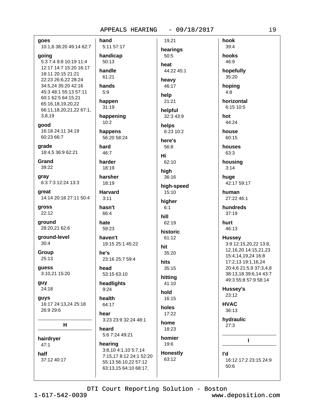goes 10:1,8 38:20 49:14 62:7 going 5:3 7:4 9:8 10:19 11:4 12:17 14:7 15:20 16:17

18:11 20:15 21:21 22:23 26:6,22 28:24 34:5,24 35:20 42:16 45:3 48:1 55:13 57:11 60:1 62:5 64:15,21 65:16,18,19,20,22 66:11,18,20,21,22 67:1, 3,8,19

good 16:18 24:11 34:19 60:23 66:7

qrade 18:4,5 36:9 62:21

Grand 39:22

gray 6:3 7:3 12:24 13:3

great 14:14 20:18 27:11 50:4

gross 22:12

ground 28:20,21 62:6

ground-level  $30:4$ 

Group 25:13

guess 3:10,21 15:20

quy 24:18

**guys** 16:17 24:13,24 25:18 26:9 29:6

н

hairdryer  $47:1$ half 37:12 40:17 hand 19,21 5:11 57:17 hearings handicap 50:5  $50:13$ heat handle 44:22 45:1 61:21 heavy hands 46:17  $5:9$ help happen 21:21  $31:19$ helpful happening 32:3 43:9  $10:2$ helps happens 6:23 10:2 56:20 58:24 here's hard 56:8  $46:7$ Hi harder 62:10 18:19 high harsher 36:16 18:19 high-speed **Harvard** 15:10  $3:11$ higher hasn't  $6:1$ 66:4 hill hate 62:19 59:23 historic haven't 61:12 19:15 25:1 45:22 hit he's 35:20 23:16 25:7 59:4 hits head  $35:15$ 53:15 63:10 hitting headlights 41:10  $9:24$ hold health 16:15 64:17 holes hear  $17:22$ 3:23 23:9 32:24 48:1 home heard 18:23 5:6 7:24 49:21 homier hearing 19:6 3:8,10 4:1,10 5:7,14 **Honestly** 7:15,17 8:12 24:1 52:20 63:12 55:13 56:10,22 57:12 63:13,15 64:10 68:17,



DTI Court Reporting Solution - Boston

www.deposition.com

hook

39:4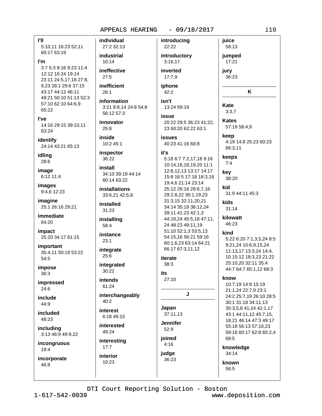#### APPEALS HEARING  $-09/18/2017$

**PII** 5:10,11 16:23 52:11 60:17 63:19

I'm 3:7 5:3 8:16 9:23 11:4 12:12 16:24 19:14 23:11 24:5,17,18 27:8, 9.23 28:1 29:6 37:15 43:17 44:12 46:11 49:21 50:10 51:13 52:3 57:10 62:10 64:6,9 65:22

l've 14:16 29:15 39:10,11 63:24

identify 24:14 43:21 65:13

idlina 28:6

image 6:12 11:4

images 9:4,6 12:23

imagine 25:1 26:16 29:21

immediate 64:20

impact 25:20 34:17 61:15

*important* 35:4.11 50:19 53:22 54:5

impose 36:3

impressed  $24:6$ 

include 44:9

included 48:23

including 3:13 46:9 49:9,22

incongruous 19:4

incorporate 46:8

individual introducing 27:2 32:13 industrial  $10:14$ ineffective 27:5 inefficient  $26:1$ information isn't 3:21 8:8,14 24:8 54:8 56:12 57:3 issue innovator  $25:8$ inside 10:2 45:1 inspector it's  $36:22$ install 34:10 39:19 44:14 60:14 63:22 installations 33:6,21 42:5,8 installed 31:23 installing 58:4 instance  $23:1$ integrate 25:6  $38:3$ 

integrated 30:22

intends 61:24

interchangeably 40:2

interest 6:18 49:15

interested 49:24

interesting  $17:7$ interior 10:23

22:22 introductory  $3:16,17$ inverted  $17:7,9$ 

iphone  $42:2$ 

13:24 59:19

20:22 29:5 36:23 41:22. 23 60:20 62:22 63:1

**issues** 40:23 41:16 60:8

5:18 6:7 7:2,17,18 9:16 10:14,16,18,19,20 11:1 12:8.12.13 13:17 14:17 15:8 16:5 17:18 18:3,18 19:4,6 21:14 23:14 25:12 26:16 28:6,7,16 29:2,8,22 30:1,19,23 31:3,15 32:11,20,21 34:14 35:19 36:12,24 39:11 41:23 42:1,3 44:18,24 45:5,18 47:11, 24 48:23 49:11,19 51:10 52:1,3 53:5,13 54:15,16 56:21 59:16 60:1,6,23 63:14 64:21 66:17 67:3,11,12

iterate

**its** 

### $27.10$

J

Japan 37:11.13 **Jennifer** 

 $52:9$ joined

 $4:16$ judge 36:23

58:13 jumped  $17:21$ iurv 36:23

juice

K

Kate  $3:3.7$ 

**Kates** 57:19 58:4,9

keep 4:19 14:8 25:23 60:23 66:3,11

keeps  $7:4$ 

key 38:20

kid 31:9 44:11 45:3

kids  $31:14$ 

kilowatt 46:23

### kind

5:22 6:20 7:1,3,5,24 8:5 9:21,24 10:6,9,15,24 11:13,17 13:3,24 14:4, 10 15:12 18:3,23 21:22 25:10,20 32:11 35:4 44:7 64:7 65:1,12 68:3

### know

10:7.19 14:9 15:19 21:1,24 22:7,9 23:1 24:2 25:7,19 26:10 28:5 30:1 31:18 34:11,13 35:3,5,8 41:24 42:1,17 43:1 44:11,12 45:7,15, 18,21 46:14 47:3 49:17 55:18 56:13 57:16,23 59:16 60:17 62:8 65:2,4 68:5

knowledge 34:14

known 56:5

DTI Court Reporting Solution - Boston

 $1 - 617 - 542 - 0039$ 

www.deposition.com

 $i10$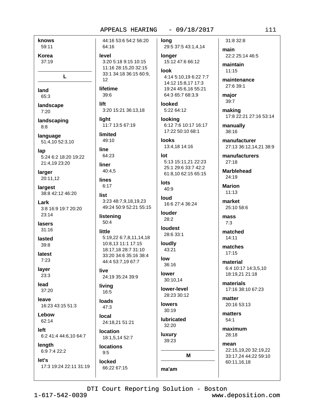knows 59:11 Korea

 $37:19$ 

L

land 65:3

landscape  $7:20$ 

landscaping  $8:8$ 

language 51:4,10 52:3,10

lap 5:24 6:2 18:20 19:22 21:4.19 23:20

larger 20:11,12

largest 38:8 42:12 46:20

Lark 3:8 16:9 19:7 20:20  $23:14$ 

lasers  $31:16$ 

lasted  $39:8$ 

latest  $7:23$ 

layer  $23:3$ 

lead 37:20

leave 16:23 43:15 51:3

Lebow 62:14

left 6:2 41:4 44:6,10 64:7

length 6:9 7:4 22:2

let's 17:3 19:24 22:11 31:19

44:16 53:6 54:2 56:20 64:16 level 3:20 5:18 9:15 10:15 11:16 28:15,20 32:15 33:1 34:18 36:15 60:9,  $12$ lifetime  $39.6$ lift 3:20 15:21 36:13,18 light 11:7 13:5 67:19 limited  $49:10$ line 64:23 liner 40:4.5 **lines** 

list 3:23 48:7.9.18.19.23 49:24 50:9 52:21 55:15

listening  $50:4$ 

 $6:17$ 

little 5:19,22 6:7,8,11,14,18 10:8,13 11:1 17:15 18:17.18 28:7 31:10 33:20 34:6 35:16 38:4 44:4 53:7,19 67:7

live 24:19 35:24 39:9

livina  $16:5$ 

loads  $47:3$ 

local 24:18,21 51:21

**location** 18:1,5,14 52:7

**locations**  $9:5$ locked

66:22 67:15

lona 29:5 37:5 43:1,4,14

longer 15:12 47:6 66:12 look

4:14 5:10,19 6:22 7:7 14:12 15:8,17 17:3 19:24 45:6.16 55:21 64:3 65:7 68:3,9

looked 5:22 64:12 looking

6:12 7:6 10:17 16:17 17:22 50:10 68:1

**looks** 13:4,18 14:16

### lot 5:13 15:11,21 22:23 25:1 29:6 33:7 42:2

61:8.10 62:15 65:15

lots 40:9

loud 16:6 27:4 36:24

louder  $28:2$ 

```
loudest
28:6 33:1
```
loudly 43:21

low  $36:16$ 

lower 30:10,14 lower-level

28:23 30:12

**lowers**  $30:19$ 

**lubricated** 32:20

luxury 39:23

ma'am

M

31:8 32:8 main

22:2 25:14 46:5

maintain  $11.15$ 

maintenance 27:6 39:1

major 39:7

making 17:8 22:21 27:16 53:14

manually  $38:16$ 

manufacturer 27:13 36:12,14,21 38:9

manufacturers  $27:18$ 

**Marblehead** 24:19

**Marion**  $11:13$ 

market 25:10 58:6

mass  $7:3$ 

matched  $14:11$ 

matches  $17:15$ 

material 6:4 10:17 14:3,5,10 18:19.21 21:18

materials 17:16 38:10 67:23

matter 20:16 53:13

matters  $54:1$ 

maximum 28:18

mean 22:15,19,20 32:19,22 33:17,24 44:22 59:10 60:11,16,18

DTI Court Reporting Solution - Boston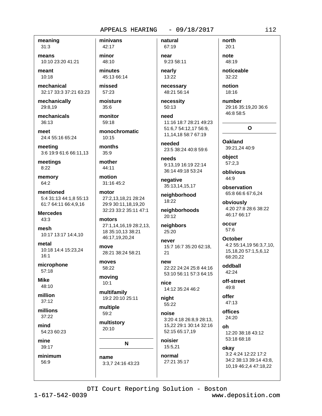meaning  $31:3$ 

means 10:10 23:20 41:21

meant 10:18

mechanical 32:17 33:3 37:21 63:23

mechanically

29:8,19

mechanicals 36:13

meet 24:4 55:16 65:24

meeting 3:6 19:9 61:6 66:11,13

meetings  $8:22$ 

memory 64:2

mentioned 5:4 31:13 44:1,8 55:13 61:7 64:11 66:4,9,16

**Mercedes** 43:3

mesh 10:17 13:17 14:4,10

metal 10:18 14:4 15:23,24  $16:1$ 

microphone  $57:18$ 

**Mike** 48:10

million  $37:12$ 

millions  $37:22$ 

mind 54:23 60:23

mine 39:17

minimum 56:9

42:17 minor 48:10

minivans

minutes 45:13 66:14

missed  $57:23$ 

moisture  $35:6$ monitor

59:18

monochromatic  $10:15$ 

months  $35:9$ 

mother 44:11

motion 31:16 45:2

motor 27:2,13,18,21 28:24 29:9 30:11.18.19.20 32:23 33:2 35:11 47:1

motors 27:1,14,16,19 28:2,13, 18 35:10,13 38:21 46:17,19,20,24

move 28:21 38:24 58:21

moves 58:22

moving  $10:1$ 

multifamily 19:2 20:10 25:11

multiple 59:2

multistory 20:10

N

name 3:3,7 24:16 43:23

67:19 near 9:23 58:11

natural

nearly 13:22

necessary 48:21 56:14

necessity 50:13

need 11:16 18:7 28:21 49:23 51:6.7 54:12.17 56:9. 11, 14, 18 58: 7 67: 19

needed 23:5 38:24 40:8 59:6

needs 9:13,19 16:19 22:14 36:14 49:18 53:24

negative 35:13,14,15,17

neighborhood  $18:22$ 

neighborhoods 20:12

neighbors 25:20

never 15:7 16:7 35:20 62:18, 21

new 22:22 24:24 25:8 44:16 53:10 56:11 57:3 64:15

nice 14:12 35:24 46:2

night 55:22

noise 3:20 4:18 26:8,9 28:13, 15,22 29:1 30:14 32:16 52:15 65:17,19

noisier 15:5,21

normal 27:21 35:17

 $20:1$ note 48:19

north

noticeable 32:22

notion  $18:16$ 

number 29:16 35:19,20 36:6 46:8 58:5

O

**Oakland** 39:21,24 40:9

object  $57:2.3$ 

oblivious 44:9

observation 65:8 66:6 67:6,24

obviously 4:20 27:8 28:6 38:22 46:17 66:17

occur 57:6

October 4:2 55:14.19 56:3.7.10. 15, 18, 20 57: 1, 5, 6, 12 68:20,22

oddball 42:24

off-street  $49:8$ 

offer  $47:13$ 

offices 24:20

Ωh 12:20 38:18 43:12 53:18 68:18

okav

3:2 4:24 12:22 17:2 34:2 38:13 39:14 43:8, 10,19 46:2,4 47:18,22

DTI Court Reporting Solution - Boston

 $1 - 617 - 542 - 0039$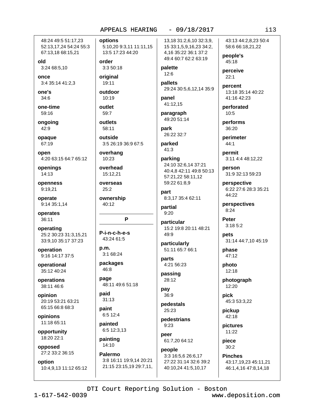### APPEALS HEARING

48:24 49:5 51:17.23 52:13,17,24 54:24 55:3 67:13,18 68:15,21

old 3:24 68:5,10

once 3:4 35:14 41:2,3

one's 34:6

one-time 59:16

ongoing 42:9

opaque 67:19

open 4:20 63:15 64:7 65:12

openings  $14:13$ 

openness 9:19,21

operate 9:14 35:1,14

operates 36:11

operating 25:2 30:23 31:3.15.21 33:9,10 35:17 37:23

operation 9:16 14:17 37:5

operational 35:12 40:24

operations 38:11 46:6

opinion 20:19 53:21 63:21 65:15 66:8 68:3

opinions 11:18 65:11

opportunity 18:20 22:1

opposed 27:2 33:2 36:15

option 10:4,9,13 11:12 65:12 options 5:10,20 9:3,11 11:11,15 13:5 17:23 44:20

order  $3:350:18$ 

original 19:11

outdoor  $10:19$ 

outlet 59:7

outlets 58:11

outside 3:5 26:19 36:9 67:5

overhang 10:23

overhead 15:12.21

overseas  $25:2$ 

ownership 40:12

### P

P-i-n-c-h-e-s 43:24 61:5

 $p.m.$  $3:168:24$ 

packages 46:8

page 48:11 49:6 51:18

paid  $31:13$ 

paint 6:5 12:4

painted 6:5 12:3,13

painting 14:10

Palermo 3:8 16:11 19:9,14 20:21 21:15 23:15,19 29:7,11, 13,18 31:2,6,10 32:3,9, 15 33:1,5,9,16,23 34:2, 4,16 35:22 36:1 37:2 49:4 60:7 62:2 63:19

 $-09/18/2017$ 

### palette 12:6

pallets 29:24 30:5,6,12,14 35:9

panel 41:12,15

paragraph 49:20 51:14

park 26:22 32:7

parked 41:3

### parking 24:10 32:6,14 37:21 40:4.8 42:11 49:8 50:13 57:21,22 58:11,12 59:22 61:8.9

part 8:3.17 35:4 62:11

partial  $9:20$ 

particular 15:2 19:8 20:11 48:21 49:9

particularly 51:11 65:7 66:1

parts 4:21 56:23 passing

28:12 pay

36:9

pedestals 25:23

pedestrians  $9:23$ 

peer 61:7,20 64:12

### people 3:3 16:5,6 26:6,17 27:22 31:14 32:6 39:2 40:10,24 41:5,10,17

43:13 44:2.8.23 50:4 58:6 66:18,21,22

people's 45:18

perceive  $22:1$ 

percent 13:18 35:14 40:22 41:16 42:23

perforated  $10:5$ 

performs 36:20

perimeter  $44:1$ 

permit 3:11 4:4 48:12,22

person 31:9 32:13 59:23

perspective 6:22 27:6 28:3 35:21 44:22

perspectives  $8:24$ 

Peter  $3:185:2$ 

**pets** 31:14 44:7,10 45:19

phase 47:12

photo  $12:18$ 

photograph 12:20

pick 45:3 53:3,22

pickup 42:18

pictures 11:22

piece  $30:2$ 

> **Pinches** 43:17,19,23 45:11,21 46:1,4,16 47:8,14,18

DTI Court Reporting Solution - Boston

### $113$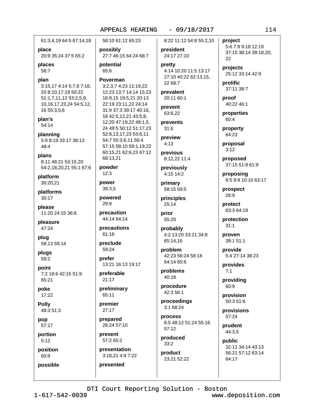#### APPEALS HEARING  $-09/18/2017$

61:3,4,19 64:5 67:14,18 58:10 61:12 65:23 possibly 27:7 46:15 64:24 68:7 20:9 35:24 37:5 65:2 potential 65:6 Poverman 3:15,17 4:14 5:7,8 7:16, 3:2.3.7 4:23 11:19.22 20 8:10,17,19 50:22 12:23 13:7 14:14 15:23 51:1,7,11,12 53:2,5,9, 16:9,15 19:5,21 20:13 10, 16, 17, 23, 24 54: 5, 12, 22:19 23:11,22 24:14 31:9 37:3 39:17 40:16, 16 55:3,5,6 18 42:5,12,21 43:5,8, 12,20 47:19,22 48:1,5, 24 49:5 50:12 51:17,23 52:8,13,17,23 53:6,11 5:9 8:19 33:17 38:13 54:7 55:3.6.11 56:4 57:15 58:10 59:1.19.22 60:15,21 62:6,23 67:12 68:13.21 8:11 48:21 53:15,20 powder 54:2,18,20,21 55:1 67:6  $12:3$ power 39:3,5 powered 29:9 precaution 11:20 24:15 36:8 44:14 64:14 precautions 61:16 preclude 58:13 59:14 59:24 prefer 13:21 16:13 19:17 7:2 18:6 42:15 51:9 preferable  $21:17$ preliminary 65:11 premier  $27:17$ prepared 26:24 57:10 present 57:2 65:2 presentation 3:18,21 4:9 7:22 presented

place

places

58:7

plan's

 $48.4$ 

plans

platform

30:20,21

platforms

 $30:17$ 

please

pleasure

47:24

plua

plugs

59:2

point

65:21

17:22

48:3 51:3

poke

**Polly** 

pop

57:17

portion

position

possible

 $5:12$ 

60:9

54:14

planning

plan

8:22 11:12 54:8 55:2,10

### president 24:17 27:10

pretty 4:14 10:20 11:5 13:17 27:10 40:22 62:13,15, 22 68:7

prevalent 20:11 60:1

prevent 63:6,22

prevents  $31:6$ 

preview  $4:13$ 

previous 8:12,22 11:4

previously 4:15 14:2

primary 58:15 59:5

principles 25:14

prior 55:20

probably 4:2 13:20 33:21 34:9 65:14.16

problem 42:23 56:24 58:18 64:14 65:6

problems 40:18

procedure 42:3 56:1

proceedings 3:1 68:24

process 8:5 48:12 51:24 55:16 57:12

produced  $33:2$ 

product 23:21 52:22 project 5:6 7:9 9:18 12:19 37:15 38:14 39:18,20, 22

projects 25:12 33:14 42:9

prolific 37:11 38:7

proof 40:22 46:1

properties 60:4

property 64:23

proposal  $3:12$ 

proposed 37:15 51:8 61:9

proposing 6:5 9:9 10:10 63:17

prospect 26:9

protect 63:3 64:19

protection  $31:1$ 

proven 38:1 51:1

provide 5:4 27:14 38:23

provides  $7:1$ 

providing 60:9

provision 50:3 51:6

provisions 57:24

prudent 44:3,5

public 32:11 34:14 43:13 56:21 57:12 63:14 64:17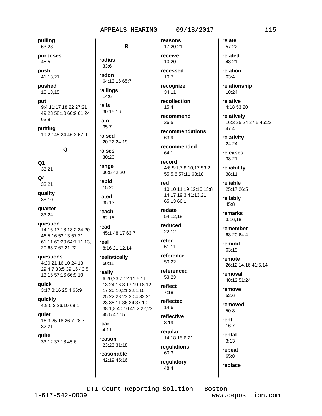pulling

63:23 purposes

45:5

push

41:13,21

pushed 18:13,15

### put

9:4 11:17 18:22 27:21 49:23 58:10 60:9 61:24 63:8

putting 19:22 45:24 46:3 67:9

Q

- 
- $O<sub>1</sub>$

33:21

 $Q<sub>4</sub>$ 33:21

quality 38:10

quarter 33:24

question

14:16 17:18 18:2 34:20 46:5.16 53:13 57:21 61:11 63:20 64:7,11,13, 20 65:7 67:21,22

questions 4:20,21 16:10 24:13 29:4,7 33:5 39:16 43:5, 13,16 57:16 66:9,10

**aujck** 

3:17 8:16 25:4 65:9

quickly 4:9 5:3 26:10 68:1

**aujet** 16:3 25:18 26:7 28:7 32:21

quite 33:12 37:18 45:6

reasons  $\mathsf{R}$ 17:20,21 radius 33:6 radon 64:13,16 65:7 railings  $14:6$ rails 30:15.16 rain  $35:7$ raised 20:22 24:19 raises 30:20 range 36:5 42:20 rapid 15:20 rated 35:13 reach 62:18 read 45:1 48:17 63:7 real 8:16 21:12,14 realistically 60:18 really 6:20,23 7:12 11:5,11 13:24 16:3 17:19 18:12,

17 20:10,21 22:1,15 25:22 28:23 30:4 32:21, 23 35:11 36:24 37:10 38:1,8 40:10 41:2,22,23 45:5 47:15

rear  $4:11$ 

reason 23:23 31:18

reasonable 42:19 45:16 receive 10:20 recessed

 $10:7$ recognize

 $34:11$ recollection

 $15:4$ recommend

36:5 recommendations

63:9 recommended

 $64:1$ 

### record 4:6 5:1.7 8:10.17 53:2

55:5,6 57:11 63:18 red 10:10 11:19 12:16 13:8 14:17 19:3 41:13,21 65:13 66:1

redate 54:12.18

reduced  $22:12$ 

refer  $51:11$ 

reference 50:22

referenced 53:23

reflect  $7:18$ 

reflected  $14:6$ 

reflective  $8:19$ 

regular 14:18 15:6,21

regulations 60:3 regulatory 48:4

related 48:21 relation

63:4

relate

57:22

relationship 18:24

relative 4:18 53:20

relatively 16:3 25:24 27:5 46:23  $47:4$ 

relativity 24:24

releases 38:21

reliability 38:11

reliable 25:17 26:5

reliably 45:8

> remarks  $3:16,18$

remember 63:20 64:4

remind 63:19

remote 26:12,14,16 41:5,14

removal 48:12 51:24

remove 52:6

removed  $50:3$ 

rent  $16:7$ 

rental

 $3:13$ 

repeat 65:8 replace

 $1 - 617 - 542 - 0039$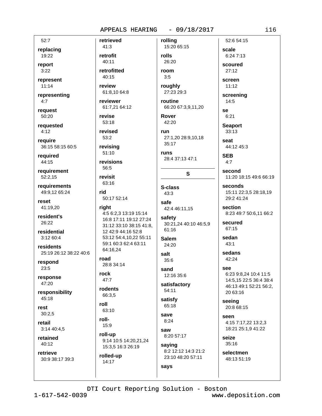$52:7$ 

replacing 19:22

report

 $3:22$ 

represent  $11:14$ 

representing  $4:7$ 

request 50:20

reauested  $4:12$ 

require 36:15 58:15 60:5

required 44:15

requirement 52:2.15

requirements 49:9,12 65:24

reset 41:19,20

resident's 26:22

residential 3:12 60:4

residents 25:19 26:12 38:22 40:6

respond  $23:5$ 

response 47:20

responsibility 45:18

rest  $30:2.5$ 

retail  $3:1440:4.5$ 

retained 40:12

retrieve 30:9 38:17 39:3 retrieved  $41:3$ retrofit 40:11 retrofitted 40:15 review 61:8.10 64:8 reviewer 61:7,21 64:12 revise 53:18 revised 53:2 revising  $51:10$ revisions 56:5 revisit 63:16 rid 50:17 52:14 right 4:5 6:2,3 13:19 15:14

16:8 17:11 19:12 27:24 31:12 33:10 38:15 41:8, 12 42:9 44:16 52:8 53:12 54:4,10,22 55:11 59:1 60:3 62:4 63:11 64:16.24

road 28:8 34:14

rock  $47:7$ 

rodents 66:3,5

roll 63:10

roll-15:9

roll-up 9:14 10:5 14:20,21,24 15:3,5 16:3 26:19

rolled-up 14:17

rolling 15:20 65:15 rolls 26:20 room  $3:5$ roughly 27:23 29:3 routine 66:20 67:3,9,11,20 Rover 42:20 run 27:1,20 28:9,10,18 35:17 **runs** 28:4 37:13 47:1 S S-class  $43:3$ safe 42:4 46:11,15 safety 30:21,24 40:10 46:5,9 61:16 **Salem** 24:20 salt  $35:6$ sand

12:16 35:6 satisfactory 54:11

satisfy 65:18

save  $8:24$ saw

says

8:20 57:17 saying 8:2 12:12 14:3 21:2

23:10 48:20 57:11

scale 6:24 7:13 scoured  $27:12$ 

52:6 54:15

screen  $11:12$ 

screening  $14:5$ 

se  $6:21$ **Seaport** 

 $33:13$ seat

44:12 45:3

**SEB**  $4:7$ 

second 11:20 18:15 49:6 66:19

seconds 15:11 22:3,5 28:18,19 29:2 41:24

section 8:23 49:7 50:6,11 66:2

secured 67:15

 $43:1$ sedans 42:24

sedan

See 6:23 9:8,24 10:4 11:5 14:5,15 22:5 36:4 38:4 46:13 49:1 52:21 56:2,

seeing 20:8 68:15

20 63:16

Seen 4:15 7:17,22 13:2,3 18:21 25:1,9 41:22

 $35:16$ selectmen

seize

48:13 51:19

DTI Court Reporting Solution - Boston

 $1 - 617 - 542 - 0039$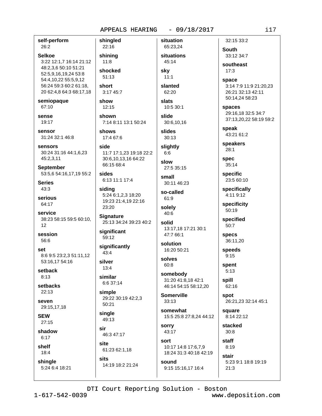self-perform 26:2 **Selkoe** 3:22 12:1,7 16:14 21:12 48:2,3,6 50:10 51:21 52:5,9,16,19,24 53:8 54:4,10,22 55:5,9,12 56:24 59:3 60:2 61:18, 20 62:4,8 64:3 68:17,18 semiopaque 67:10 sense 19:17 sensor 31:24 32:1 46:8 sensors 30:24 31:16 44:1,6,23 45:2,3,11 **September** 53:5.6 54:16.17.19 55:2 **Series**  $43:3$ serious 64:17 service 38:23 58:15 59:5 60:10.  $12$ session 56:6 set 8:6 9:5 23:2.3 51:11.12 53:16,17 54:16 setback  $8:13$ setbacks  $22.13$ seven 29:15,17,18 **SEW** 27:15 shadow  $6:17$ shelf 18:4 shingle 5:24 6:4 18:21

shingled 22:16 shining  $11:8$ shocked 51:13 short

3:17 45:7 show  $12:15$ 

shown 7:14 8:11 13:1 50:24

shows 17:4 67:6

side 11:7 17:1.23 19:18 22:2 30:6,10,13,16 64:22 66:15 68:4

sides 6:13 11:1 17:4

siding 5:24 6:1,2,3 18:20 19:23 21:4.19 22:16 23:20

**Signature** 25:13 34:24 39:23 40:2

significant 59:12

significantly  $43:4$ 

silver  $13:4$ 

similar 6:6 37:14

simple 29:22 30:19 42:2,3 50:21

single  $49.13$ 

sir 46:3 47:17

site 61:23 62:1,18

sits 14:19 18:2 21:24

65:23,24 situations 45:14 skv

situation

 $11:1$ slanted

 $62:20$ slats

10:5 30:1 slide

30:6,10,16 slides

 $30:13$ slightly

 $6:6$ slow

27:5 35:15 small 30:11 46:23

so-called 61:9

solely 40:6

solid 13:17,18 17:21 30:1 47:7 66:1

solution 16:20 50:21

solves  $60:8$ 

somebody 31:20 41:8,18 42:1 46:14 54:15 58:12.20

**Somerville**  $33:13$ 

somewhat 15:5 25:8 27:8,24 44:12

sorry 43:17 sort 10:17 14:8 17:6.7.9 18:24 31:3 40:18 42:19

9:15 15:16,17 16:4

stair

spaces 29:16,18 32:5 34:7 37:13,20,22 58:19 59:2 speak 43:21 61:2

3:14 7:9 11:9 21:20.23

26:21 32:13 42:11 50:14,24 58:23

32:15 33:2

33:12 34:7

southeast

South

 $17.3$ 

space

speakers  $28:1$ 

spec  $35:14$ 

specific 23:5 60:10

specifically 4:11 9:12

specificity 50:19

specified  $50:7$ 

> **specs** 36:11,20

speeds  $9:15$ 

spent  $5:13$ 

spill 62:16

spot 26:21,23 32:14 45:1

square 8:14 22:12

stacked  $30:8$ 

staff  $8:19$ 

5:23 9:1 18:8 19:19  $21:3$ 

DTI Court Reporting Solution - Boston

sound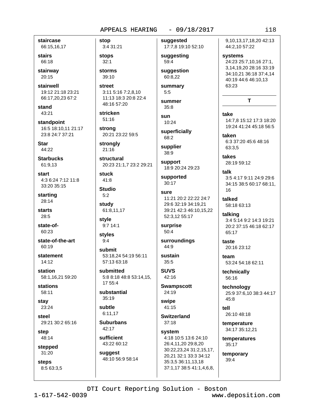staircase 66:15,16,17

stairs 66:18

stairway 20:15

stairwell 19:12 21:18 23:21 66:17,20,23 67:2

stand 43:21

standpoint 16:5 18:10,11 21:17 23:8 24:7 37:21

Star 44:22

**Starbucks** 61:9.13

start 4:3 6:24 7:12 11:8 33:20 35:15

starting 28:14

starts 28:5

state-of-60:23

state-of-the-art 60:19

statement 14:12

station 58:1,16,21 59:20

**stations** 58:11

stav 23:24

steel 29:21 30:2 65:16

step 48:14

stepped 31:20

**steps** 8:5 63:3,5 stop 3:4 31:21 **stops**  $32:1$ 

storms 39:10

street 3:11 5:16 7:2,8,10 11:13 18:3 20:8 22:4 48:16 57:20

stricken  $51:16$ 

strong 20:21 23:22 59:5

strongly  $21:16$ 

structural 20:23 21:1,7 23:2 29:21

stuck  $41:8$ 

**Studio**  $5:2$ study

61:8,11,17

style 9:7 14:1

styles  $9:4$ 

submit 53:18,24 54:19 56:11 57:13 63:18

submitted 5:8 8:18 48:8 53:14,15, 17 55:4

substantial  $35:19$ 

subtle 6:11.17

**Suburbans** 42:17

sufficient 43:22 60:12

suggest 48:10 56:9 58:14 suggested 17:7,8 19:10 52:10

suggesting 59:4

suggestion 60:8,22

summary  $5:5$ summer

 $35:8$ sun 10:24

superficially 68:2

supplier 38:9

support 18:9 20:24 29:23

supported  $30:17$ 

### sure 11:21 20:2 22:22 24:7 29:6 32:19 34:19.21 39:21 42:3 46:10,15,22 52:3,12 55:17

surprise 50:4

surroundings 44:9 sustain

 $35:5$ **SUVS** 

42:16 **Swampscott** 

24:19 swipe

41:15

**Switzerland**  $37:18$ 

system 4:18 10:5 13:6 24:10 26:4,11,20 29:8,20 30:22,23,24 31:2,15,17, 20,21 32:1 33:3 34:12 35:3,5 36:11,13,18 37:1,17 38:5 41:1,4,6,8, 9.10.13.17.18.20 42:13 44:2,10 57:22

systems 24:23 25:7,10,16 27:1, 3,14,19,20 28:16 33:19 34:10.21 36:18 37:4.14 40:19 44:6 46:10,13 63:23

### T

take 14:7,8 15:12 17:3 18:20 19:24 41:24 45:18 56:5

taken 6:3 37:20 45:6 48:16 63:3.5

takes 28:19 59:12

talk 3:54:179:1124:929:6 34:15 38:5 60:17 68:11, 16

talked 58:18 63:13

talking 3:4 5:14 9:2 14:3 19:21 20:2 37:15 46:18 62:17 65:17

taste 20:16 23:12

team 53:24 54:18 62:11

technically 56:16

technoloav 25:9 37:6,10 38:3 44:17 45:8

tell 26:10 48:18

temperature 34:17 35:12,21

temperatures 35:17

temporary  $39:4$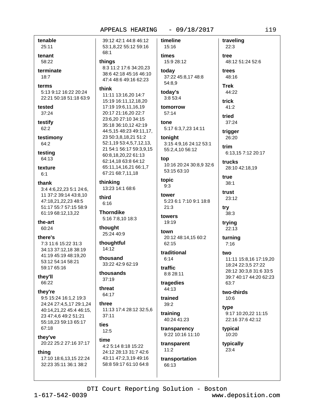timeline

tenable 25:11

tenant 58:22

terminate 18:7

terms

5:13 9:12 16:22 20:24 22:21 50:18 51:18 63:9

tested 37:24

testify 62:2

testimony 64:2

testing 64:13

texture  $6:1$ 

thank 3:4 4:6,22,23 5:1 24:6, 11 37:2 39:14 43:8,10 47:18.21.22.23 48:5 51:17 55:7 57:15 58:9 61:19 68:12,13,22

the-art 60:24

there's 7:3 11:6 15:22 31:3 34:13 37:12.18 38:19 41:19 45:19 48:19.20 53:12 54:14 58:21 59:17 65:16

they'll 66:22

they're

9:5 15:24 16:1,2 19:3 24:24 27:4,5,17 29:1,24 40:14,21,22 45:4 46:15, 23 47:4,6 49:2 51:21 55:18.23 59:13 65:17 67:18

thev've 20:22 25:2 27:16 37:17

### thing

17:10 18:6,13,15 22:24 32:23 35:11 36:1 38:2

39:12 42:1 44:8 46:12 53:1,8,22 55:12 59:16 68:1 things 8:3 11:2 17:6 34:20.23 38:6 42:18 45:16 46:10 47:4 48:6 49:16 62:23 think 11:11 13:16,20 14:7 15:19 16:11,12,18,20 17:19 19:6.11.16.19 20:17 21:16,20 22:7 23:6,20 27:10 34:15 35:18 36:10,12 42:19 44:5,15 48:23 49:11,17, 23 50:3,8,18,21 51:2 52:1,19 53:4,5,7,12,13, 21 54:1 56:17 59:3,9,15 60:8,18,20,22 61:13 62:14,18 63:8 64:12 65:11,14,16,21 66:1,7 67:21 68:7,11,18 thinking 13:23 14:1 68:6 third  $6:16$ **Thorndike** 

5:16 7:8,10 18:3

thought 25:24 40:9

thoughtful  $14:12$ 

thousand 33:22 42:9 62:19

thousands  $37.19$ 

threat 64:17

three 11:13 17:4 28:12 32:5,6

ties  $12:5$ 

 $37:11$ 

time 4:2 5:14 8:18 15:22 24:12 28:13 31:7 42:6 43:11 47:2,3,19 49:16

58:8 59:17 61:10 64:8

15:16 times 15:9 28:12 todav 37:22 45:8,17 48:8 54:8,9 today's 3:8 53:4 tomorrow 57:14

tone 5:17 6:3,7,23 14:11 tonight

3:15 4:9,16 24:12 53:1 55:2,4,10 56:12

top 10:16 20:24 30:8,9 32:6

53:15 63:10 topic  $9:3$ 

tower 5:23 6:1 7:10 9:1 18:8  $21:3$ 

towers 19:19

```
town
20:12 48:14,15 60:2
62:15
```
traditional  $6:14$ 

traffic 8:8 28:11

tragedies 44:13

trained  $39:2$ 

training 40:24 41:23

transparency 9:22 10:16 11:10

transparent  $11:2$ 

transportation 66:13

traveling  $22:3$ tree 48:12 51:24 52:6 trees 48:16 **Trek**  $44:22$ trick 41:2 tried 37:24 trigger 26:20 trim 6:13.15 7:12 20:17 trucks  $38:3$ 

18:24 22:3.5 27:22 28:12 30:3,8 31:6 33:5 63:7

 $10:6$ 

type 22:16 37:6 42:12

10:20

typically  $23:4$ 

28:10 42:18,19

true  $38:1$ 

trust 23:12

try

trying 22:13

turning  $7:16$ 

two 11:11 15:8,16 17:19,20 39:7 40:17 44:20 62:23

two-thirds

9:17 10:20.22 11:15

typical

DTI Court Reporting Solution - Boston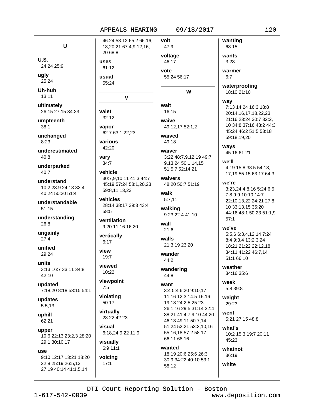Ū  $U.S.$ uses 24:24 25:9 ugly usual  $25:24$ Uh-huh  $13:11$ ultimately 26:15 27:15 34:23 valet umpteenth  $38:1$ vapor unchanged 8:23 underestimated  $40:8$ vary  $34:7$ underparked  $40:7$ understand 10:2 23:9 24:13 32:4 40:24 50:20 51:4 understandable  $51:15$ 58:5 understanding  $26:8$ ungainly  $27:4$  $6.17$ unified view 29:24  $19:7$ units 3:13 16:7 33:11 34:8 42:10 updated  $7:5$ 7:18,20 8:18 53:15 54:1 updates 5:5,13 uphill 62:21 visual upper 10:6 22:13 23:2,3 28:20 29:1 30:10,17 **USA** 9:10 12:17 13:21 18:20 22:8 25:19 26:5.13  $17:1$ 27:19 40:14 41:1,5,14

volt 46:24 58:12 65:2 66:16. 18,20,21 67:4,9,12,16, 47:9 20 68:8  $61:12$ vote 55:24  $\mathbf{V}$ wait  $32:12$ waive 62:7 63:1,22,23 various 42:20 waiver vehicle 30:7,9,10,11 41:3 44:7 45:19 57:24 58:1,20,23 59:8,11,13,23 walk vehicles 28:14 38:17 39:3 43:4 ventilation wall 9:20 11:16 16:20  $21:6$ vertically walls 44:2 viewed  $10:22$  $44:8$ viewpoint want violating  $50:17$ virtually 28:22 42:23 6:18,24 9:22 11:9 visually 6:9 11:1 voicing

wanting 68:15 voltage wants 46:17  $3:23$ warmer 55:24 56:17 W  $16:15$ 49:12,17 52:1,2 waived 49:18 3:22 48:7.9.12.19 49:7. 9,13,24 50:1,14,15 51:5,7 52:14,21 waivers 48:20 50:7 51:19  $5:7,11$ walking 9:23 22:4 41:10 21:3,19 23:20 wander wandering 3:4 5:4 6:20 9:10.17 11:16 12:3 14:5 16:16 19:18 24:2.5 25:23 26:1,16 29:5 31:14 32:4 38:21 41:4,7,9,10 44:20 46:13 49:11 50:7,14 51:24 52:21 53:3,10,16 55:16,18 57:2 58:17 66:11 68:16 wanted

18:19 20:6 25:6 26:3 30:9 34:22 40:10 53:1

58:12

 $6:7$ waterproofing 18:10 21:10 way 7:13 14:24 16:3 18:8 20:14,16,17,18,22,23 21:16 23:24 30:7 32:2, 10 34:8 37:16 43:2 44:3 45:24 46:2 51:5 53:18 59:18.19.20 ways 45:16 61:21 we'll 4:19 15:8 38:5 54:13, 17.19 55:15 63:17 64:3 we're 3:23,24 4:8,16 5:24 6:5 7:8 9:9 10:10 14:7 22:10,13,22 24:21 27:8, 10 33:13,15 35:20 44:16 48:1 50:23 51:1,9  $57:1$ we've 5:5,6 6:3,4,12,14 7:24 8:4 9:3.4 13:2.3.24 18:21 21:22 22:12,18 34:11 41:22 46:7.14 51:1 66:10 weather 34:16 35:6 week 5:8 39:8 weight 29:23

went 5:21 27:15 48:8

 $what's$ 10:2 15:3 19:7 20:11 45:23

whatnot 36:19 white

### DTI Court Reporting Solution - Boston